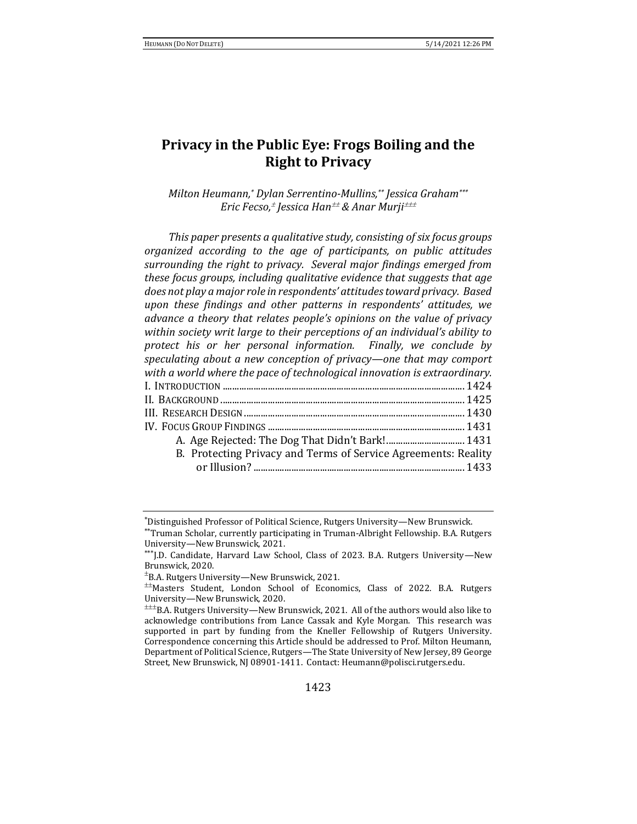# **Privacy in the Public Eye: Frogs Boiling and the Right to Privacy**

*Milton Heumann,\* Dylan Serrentino-Mullins,\*\* Jessica Graham\*\*\* Eric Fecso, Jessica Han & Anar Murji*

*This paper presents a qualitative study, consisting of six focus groups organized according to the age of participants, on public attitudes surrounding the right to privacy. Several major findings emerged from these focus groups, including qualitative evidence that suggests that age does not play a major role in respondents' attitudes toward privacy. Based upon these findings and other patterns in respondents' attitudes, we advance a theory that relates people's opinions on the value of privacy within society writ large to their perceptions of an individual's ability to protect his or her personal information. Finally, we conclude by speculating about a new conception of privacy—one that may comport with a world where the pace of technological innovation is extraordinary.*  I. INTRODUCTION ...................................................................................................... 1424 II. BACKGROUND ....................................................................................................... 1425 III. RESEARCH DESIGN............................................................................................. 1430 IV. FOCUS GROUP FINDINGS ................................................................................... 1431

A. Age Rejected: The Dog That Didn't Bark!................................. 1431 B. Protecting Privacy and Terms of Service Agreements: Reality or Illusion? ......................................................................................... 1433

<sup>\*</sup>Distinguished Professor of Political Science, Rutgers University—New Brunswick.

<sup>\*\*</sup>Truman Scholar, currently participating in Truman-Albright Fellowship. B.A. Rutgers University—New Brunswick, 2021.

<sup>\*\*\*</sup>J.D. Candidate, Harvard Law School, Class of 2023. B.A. Rutgers University-New Brunswick, 2020.

 $^{\pm}$ B.A. Rutgers University—New Brunswick, 2021.

Masters Student, London School of Economics, Class of 2022. B.A. Rutgers University—New Brunswick, 2020.

 $\pm\pm$ B.A. Rutgers University—New Brunswick, 2021. All of the authors would also like to acknowledge contributions from Lance Cassak and Kyle Morgan. This research was supported in part by funding from the Kneller Fellowship of Rutgers University. Correspondence concerning this Article should be addressed to Prof. Milton Heumann, Department of Political Science, Rutgers—The State University of New Jersey, 89 George Street, New Brunswick, NJ 08901-1411. Contact: Heumann@polisci.rutgers.edu.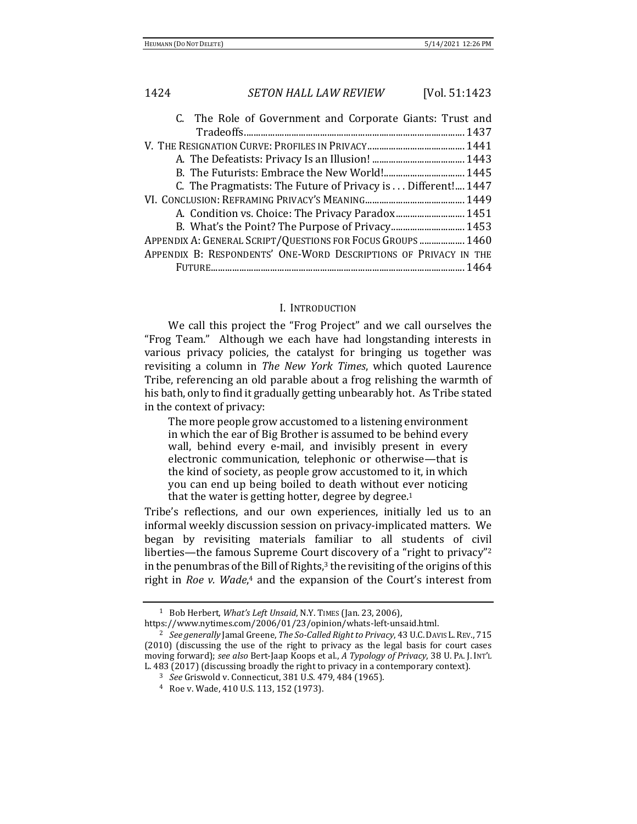| C. The Role of Government and Corporate Giants: Trust and        |  |
|------------------------------------------------------------------|--|
|                                                                  |  |
|                                                                  |  |
|                                                                  |  |
|                                                                  |  |
| C. The Pragmatists: The Future of Privacy is Different! 1447     |  |
|                                                                  |  |
|                                                                  |  |
|                                                                  |  |
| APPENDIX A: GENERAL SCRIPT/QUESTIONS FOR FOCUS GROUPS  1460      |  |
| APPENDIX B: RESPONDENTS' ONE-WORD DESCRIPTIONS OF PRIVACY IN THE |  |
|                                                                  |  |

### I. INTRODUCTION

We call this project the "Frog Project" and we call ourselves the "Frog Team." Although we each have had longstanding interests in various privacy policies, the catalyst for bringing us together was revisiting a column in *The New York Times*, which quoted Laurence Tribe, referencing an old parable about a frog relishing the warmth of his bath, only to find it gradually getting unbearably hot. As Tribe stated in the context of privacy:

The more people grow accustomed to a listening environment in which the ear of Big Brother is assumed to be behind every wall, behind every e-mail, and invisibly present in every electronic communication, telephonic or otherwise—that is the kind of society, as people grow accustomed to it, in which you can end up being boiled to death without ever noticing that the water is getting hotter, degree by degree. 1

Tribe's reflections, and our own experiences, initially led us to an informal weekly discussion session on privacy-implicated matters. We began by revisiting materials familiar to all students of civil liberties—the famous Supreme Court discovery of a "right to privacy"<sup>2</sup> in the penumbras of the Bill of Rights,<sup>3</sup> the revisiting of the origins of this right in *Roe v. Wade*, <sup>4</sup> and the expansion of the Court's interest from

<sup>1</sup> Bob Herbert, *What's Left Unsaid*, N.Y. TIMES (Jan. 23, 2006),

https://www.nytimes.com/2006/01/23/opinion/whats-left-unsaid.html.

<sup>2</sup> *See generally* Jamal Greene, *The So-Called Right to Privacy*, 43 U.C.DAVIS L.REV., 715 (2010) (discussing the use of the right to privacy as the legal basis for court cases moving forward); *see also* Bert-Jaap Koops et al., *A Typology of Privacy*, 38 U. PA. J. INT'L L. 483 (2017) (discussing broadly the right to privacy in a contemporary context).

<sup>3</sup> *See* Griswold v. Connecticut, 381 U.S. 479, 484 (1965).

<sup>4</sup> Roe v. Wade, 410 U.S. 113, 152 (1973).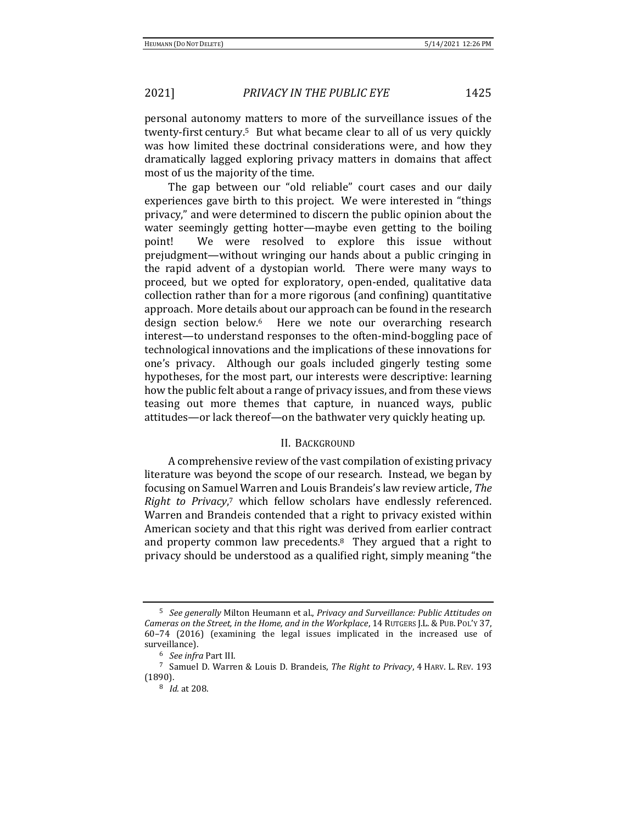personal autonomy matters to more of the surveillance issues of the twenty-first century.5 But what became clear to all of us very quickly was how limited these doctrinal considerations were, and how they dramatically lagged exploring privacy matters in domains that affect most of us the majority of the time.

The gap between our "old reliable" court cases and our daily experiences gave birth to this project. We were interested in "things privacy," and were determined to discern the public opinion about the water seemingly getting hotter—maybe even getting to the boiling point! We were resolved to explore this issue without prejudgment—without wringing our hands about a public cringing in the rapid advent of a dystopian world. There were many ways to proceed, but we opted for exploratory, open-ended, qualitative data collection rather than for a more rigorous (and confining) quantitative approach. More details about our approach can be found in the research design section below.6 Here we note our overarching research interest—to understand responses to the often-mind-boggling pace of technological innovations and the implications of these innovations for one's privacy. Although our goals included gingerly testing some hypotheses, for the most part, our interests were descriptive: learning how the public felt about a range of privacy issues, and from these views teasing out more themes that capture, in nuanced ways, public attitudes—or lack thereof—on the bathwater very quickly heating up.

### II. BACKGROUND

A comprehensive review of the vast compilation of existing privacy literature was beyond the scope of our research. Instead, we began by focusing on Samuel Warren and Louis Brandeis's law review article, *The Right to Privacy*, <sup>7</sup> which fellow scholars have endlessly referenced. Warren and Brandeis contended that a right to privacy existed within American society and that this right was derived from earlier contract and property common law precedents. $8$  They argued that a right to privacy should be understood as a qualified right, simply meaning "the

<sup>5</sup> *See generally* Milton Heumann et al., *Privacy and Surveillance: Public Attitudes on Cameras on the Street, in the Home, and in the Workplace*, 14 RUTGERS J.L.& PUB. POL'Y 37, 60–74 (2016) (examining the legal issues implicated in the increased use of surveillance).

<sup>6</sup> *See infra* Part III.

<sup>7</sup> Samuel D. Warren & Louis D. Brandeis, *The Right to Privacy*, 4 HARV. L. REV. 193 (1890).

<sup>8</sup> *Id.* at 208.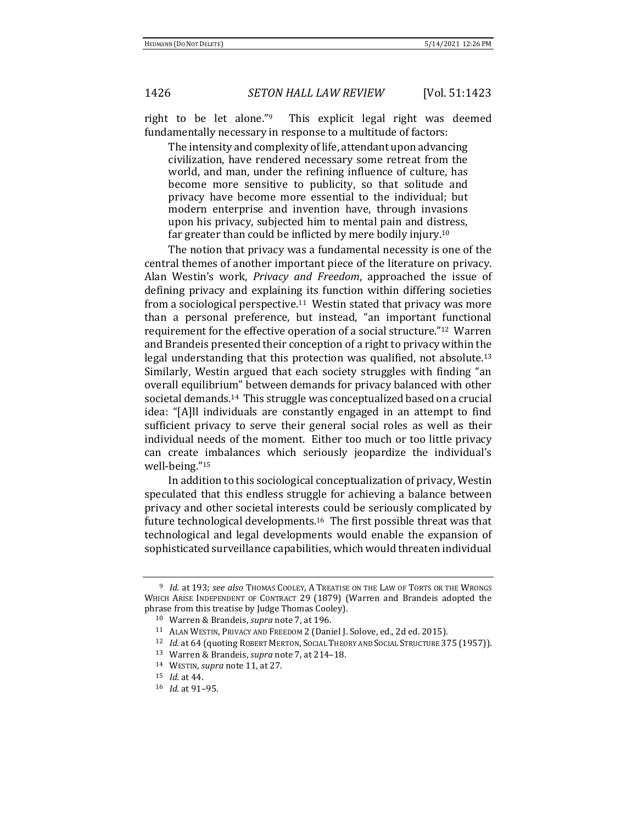right to be let alone."9 This explicit legal right was deemed fundamentally necessary in response to a multitude of factors:

The intensity and complexity of life, attendant upon advancing civilization, have rendered necessary some retreat from the world, and man, under the refining influence of culture, has become more sensitive to publicity, so that solitude and privacy have become more essential to the individual; but modern enterprise and invention have, through invasions upon his privacy, subjected him to mental pain and distress, far greater than could be inflicted by mere bodily injury.<sup>10</sup>

The notion that privacy was a fundamental necessity is one of the central themes of another important piece of the literature on privacy. Alan Westin's work, *Privacy and Freedom*, approached the issue of defining privacy and explaining its function within differing societies from a sociological perspective.11 Westin stated that privacy was more than a personal preference, but instead, "an important functional requirement for the effective operation of a social structure."12 Warren and Brandeis presented their conception of a right to privacy within the legal understanding that this protection was qualified, not absolute.<sup>13</sup> Similarly, Westin argued that each society struggles with finding "an overall equilibrium" between demands for privacy balanced with other societal demands.14 This struggle was conceptualized based on a crucial idea: "[A]ll individuals are constantly engaged in an attempt to find sufficient privacy to serve their general social roles as well as their individual needs of the moment. Either too much or too little privacy can create imbalances which seriously jeopardize the individual's well-being."<sup>15</sup>

In addition to this sociological conceptualization of privacy, Westin speculated that this endless struggle for achieving a balance between privacy and other societal interests could be seriously complicated by future technological developments.16 The first possible threat was that technological and legal developments would enable the expansion of sophisticated surveillance capabilities, which would threaten individual

<sup>9</sup> *Id.* at 193; *see also* THOMAS COOLEY, A TREATISE ON THE LAW OF TORTS OR THE WRONGS WHICH ARISE INDEPENDENT OF CONTRACT 29 (1879) (Warren and Brandeis adopted the phrase from this treatise by Judge Thomas Cooley).

<sup>10</sup> Warren & Brandeis, *supra* note 7, at 196.

<sup>11</sup> ALAN WESTIN, PRIVACY AND FREEDOM 2 (Daniel J. Solove, ed., 2d ed. 2015).

<sup>12</sup> *Id*. at 64 (quoting ROBERT MERTON, SOCIAL THEORY AND SOCIAL STRUCTURE 375 (1957)).

<sup>13</sup> Warren & Brandeis, *supra* note 7, at 214–18.

<sup>14</sup> WESTIN, *supra* note 11, at 27.

<sup>15</sup> *Id.* at 44.

<sup>16</sup> *Id.* at 91–95.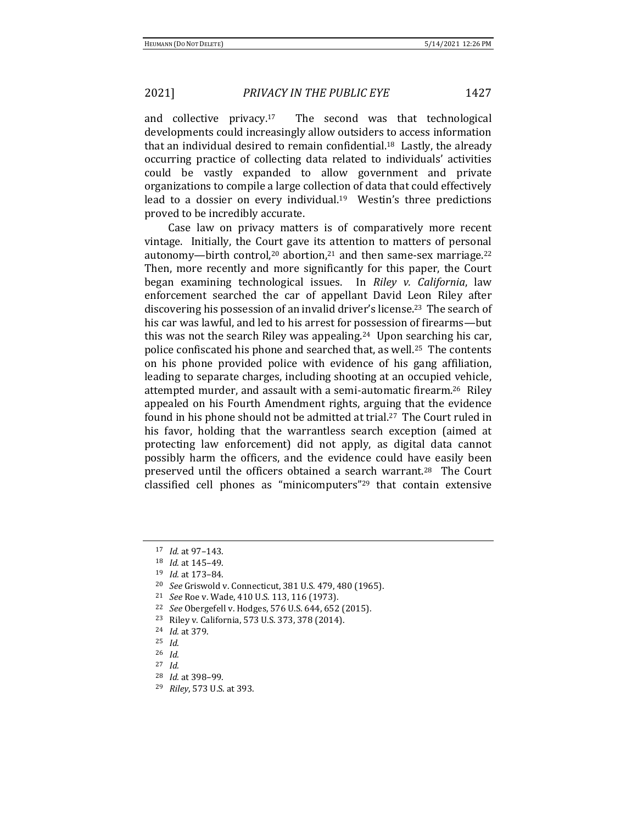and collective privacy.17 The second was that technological developments could increasingly allow outsiders to access information that an individual desired to remain confidential.18 Lastly, the already occurring practice of collecting data related to individuals' activities could be vastly expanded to allow government and private organizations to compile a large collection of data that could effectively lead to a dossier on every individual.<sup>19</sup> Westin's three predictions proved to be incredibly accurate.

Case law on privacy matters is of comparatively more recent vintage. Initially, the Court gave its attention to matters of personal autonomy—birth control,<sup>20</sup> abortion,<sup>21</sup> and then same-sex marriage.<sup>22</sup> Then, more recently and more significantly for this paper, the Court began examining technological issues. In *Riley v. California*, law enforcement searched the car of appellant David Leon Riley after discovering his possession of an invalid driver's license.<sup>23</sup> The search of his car was lawful, and led to his arrest for possession of firearms—but this was not the search Riley was appealing.24 Upon searching his car, police confiscated his phone and searched that, as well.25 The contents on his phone provided police with evidence of his gang affiliation, leading to separate charges, including shooting at an occupied vehicle, attempted murder, and assault with a semi-automatic firearm.26 Riley appealed on his Fourth Amendment rights, arguing that the evidence found in his phone should not be admitted at trial.<sup>27</sup> The Court ruled in his favor, holding that the warrantless search exception (aimed at protecting law enforcement) did not apply, as digital data cannot possibly harm the officers, and the evidence could have easily been preserved until the officers obtained a search warrant.28 The Court classified cell phones as "minicomputers"<sup>29</sup> that contain extensive

- <sup>20</sup> *See* Griswold v. Connecticut, 381 U.S. 479, 480 (1965).
- <sup>21</sup> *See* Roe v. Wade, 410 U.S. 113, 116 (1973).
- <sup>22</sup> *See* Obergefell v. Hodges, 576 U.S. 644, 652 (2015).
- <sup>23</sup> Riley v. California, 573 U.S. 373, 378 (2014).
- <sup>24</sup> *Id.* at 379.
- <sup>25</sup> *Id.*
- <sup>26</sup> *Id.*
- <sup>27</sup> *Id.*
- <sup>28</sup> *Id.* at 398–99*.*
- <sup>29</sup> *Riley*, 573 U.S. at 393.

<sup>17</sup> *Id.* at 97–143.

<sup>18</sup> *Id.* at 145–49.

<sup>19</sup> *Id.* at 173–84.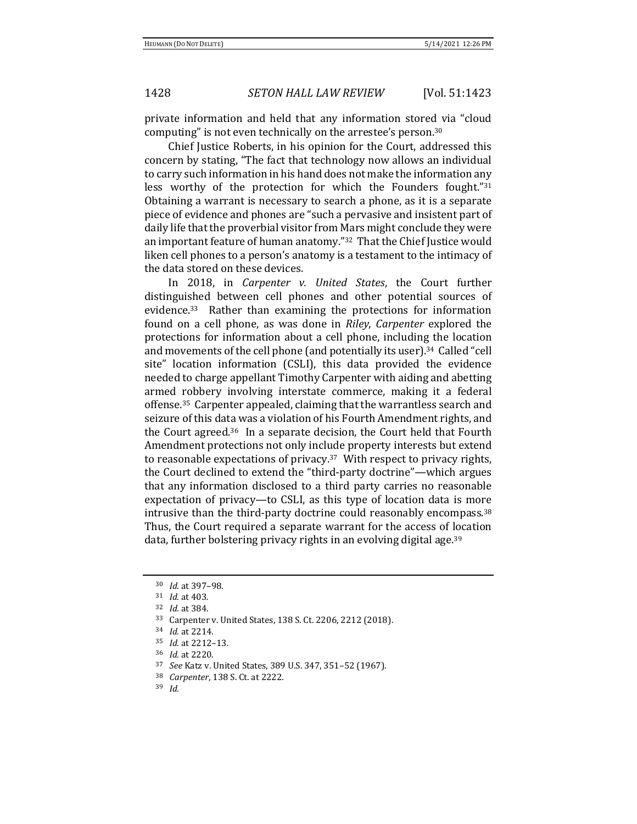private information and held that any information stored via "cloud computing" is not even technically on the arrestee's person.<sup>30</sup>

Chief Justice Roberts, in his opinion for the Court, addressed this concern by stating, "The fact that technology now allows an individual to carry such information in his hand does not make the information any less worthy of the protection for which the Founders fought."31 Obtaining a warrant is necessary to search a phone, as it is a separate piece of evidence and phones are "such a pervasive and insistent part of daily life that the proverbial visitor from Mars might conclude they were an important feature of human anatomy."32 That the Chief Justice would liken cell phones to a person's anatomy is a testament to the intimacy of the data stored on these devices.

In 2018, in *Carpenter v. United States*, the Court further distinguished between cell phones and other potential sources of evidence.33 Rather than examining the protections for information found on a cell phone, as was done in *Riley*, *Carpenter* explored the protections for information about a cell phone, including the location and movements of the cell phone (and potentially its user).<sup>34</sup> Called "cell site" location information (CSLI), this data provided the evidence needed to charge appellant Timothy Carpenter with aiding and abetting armed robbery involving interstate commerce, making it a federal offense.35 Carpenter appealed, claiming that the warrantless search and seizure of this data was a violation of his Fourth Amendment rights, and the Court agreed.36 In a separate decision, the Court held that Fourth Amendment protections not only include property interests but extend to reasonable expectations of privacy.37 With respect to privacy rights, the Court declined to extend the "third-party doctrine"—which argues that any information disclosed to a third party carries no reasonable expectation of privacy—to CSLI, as this type of location data is more intrusive than the third-party doctrine could reasonably encompass.<sup>38</sup> Thus, the Court required a separate warrant for the access of location data, further bolstering privacy rights in an evolving digital age.<sup>39</sup>

<sup>30</sup> *Id.* at 397–98.

<sup>31</sup> *Id.* at 403*.*

<sup>32</sup> *Id.* at 384.

<sup>33</sup> Carpenter v. United States, 138 S. Ct. 2206, 2212 (2018).

<sup>34</sup> *Id.* at 2214*.*

<sup>35</sup> *Id.* at 2212–13*.*

<sup>36</sup> *Id.* at 2220.

<sup>37</sup> *See* Katz v. United States, 389 U.S. 347, 351–52 (1967).

<sup>38</sup> *Carpenter*, 138 S. Ct. at 2222.

<sup>39</sup> *Id.*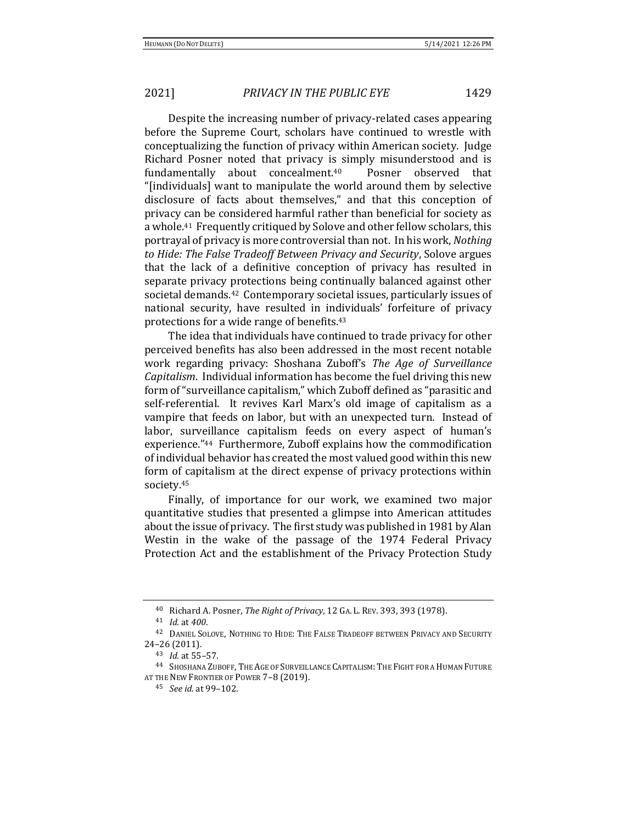Despite the increasing number of privacy-related cases appearing before the Supreme Court, scholars have continued to wrestle with conceptualizing the function of privacy within American society. Judge Richard Posner noted that privacy is simply misunderstood and is fundamentally about concealment.40 Posner observed that "[individuals] want to manipulate the world around them by selective disclosure of facts about themselves," and that this conception of privacy can be considered harmful rather than beneficial for society as a whole.41 Frequently critiqued by Solove and other fellow scholars, this portrayal of privacy is more controversial than not. In his work, *Nothing to Hide: The False Tradeoff Between Privacy and Security*, Solove argues that the lack of a definitive conception of privacy has resulted in separate privacy protections being continually balanced against other societal demands.42 Contemporary societal issues, particularly issues of national security, have resulted in individuals' forfeiture of privacy protections for a wide range of benefits.<sup>43</sup>

The idea that individuals have continued to trade privacy for other perceived benefits has also been addressed in the most recent notable work regarding privacy: Shoshana Zuboff's *The Age of Surveillance Capitalism*. Individual information has become the fuel driving this new form of "surveillance capitalism," which Zuboff defined as "parasitic and self-referential. It revives Karl Marx's old image of capitalism as a vampire that feeds on labor, but with an unexpected turn. Instead of labor, surveillance capitalism feeds on every aspect of human's experience."44 Furthermore, Zuboff explains how the commodification of individual behavior has created the most valued good within this new form of capitalism at the direct expense of privacy protections within society.<sup>45</sup>

Finally, of importance for our work, we examined two major quantitative studies that presented a glimpse into American attitudes about the issue of privacy. The first study was published in 1981 by Alan Westin in the wake of the passage of the 1974 Federal Privacy Protection Act and the establishment of the Privacy Protection Study

<sup>40</sup> Richard A. Posner, *The Right of Privacy*, 12 GA. L. REV. 393, 393 (1978).

<sup>41</sup> *Id.* at *400*.

<sup>42</sup> DANIEL SOLOVE, NOTHING TO HIDE: THE FALSE TRADEOFF BETWEEN PRIVACY AND SECURITY 24–26 (2011).

<sup>43</sup> *Id.* at 55–57.

<sup>44</sup> SHOSHANA ZUBOFF, THE AGE OF SURVEILLANCE CAPITALISM: THE FIGHT FOR A HUMAN FUTURE AT THE NEW FRONTIER OF POWER 7-8 (2019).

<sup>45</sup> *See id.* at 99–102.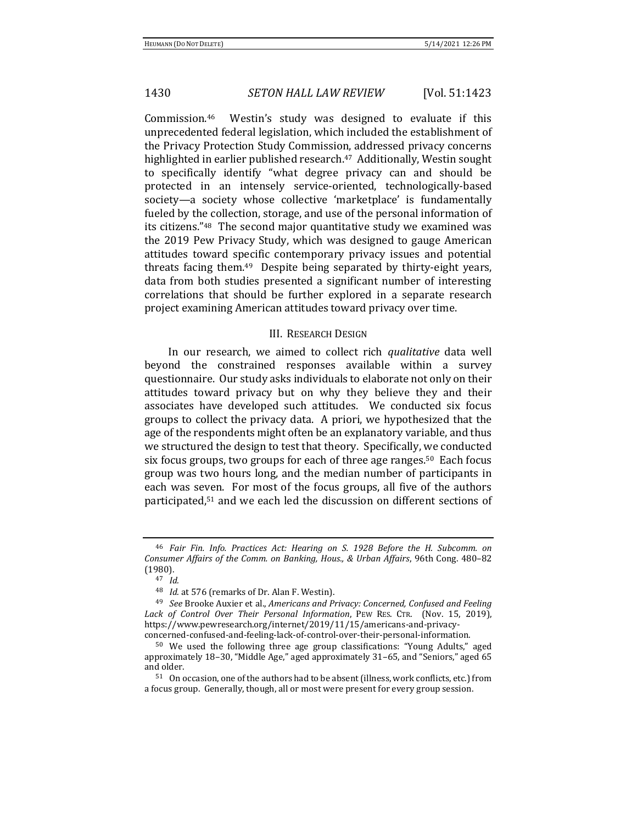Commission.<sup>46</sup> Westin's study was designed to evaluate if this unprecedented federal legislation, which included the establishment of the Privacy Protection Study Commission, addressed privacy concerns highlighted in earlier published research.<sup>47</sup> Additionally, Westin sought to specifically identify "what degree privacy can and should be protected in an intensely service-oriented, technologically-based society—a society whose collective 'marketplace' is fundamentally fueled by the collection, storage, and use of the personal information of its citizens."48 The second major quantitative study we examined was the 2019 Pew Privacy Study, which was designed to gauge American attitudes toward specific contemporary privacy issues and potential threats facing them.49 Despite being separated by thirty-eight years, data from both studies presented a significant number of interesting correlations that should be further explored in a separate research project examining American attitudes toward privacy over time.

### III. RESEARCH DESIGN

In our research, we aimed to collect rich *qualitative* data well beyond the constrained responses available within a survey questionnaire. Our study asks individuals to elaborate not only on their attitudes toward privacy but on why they believe they and their associates have developed such attitudes. We conducted six focus groups to collect the privacy data. A priori, we hypothesized that the age of the respondents might often be an explanatory variable, and thus we structured the design to test that theory. Specifically, we conducted six focus groups, two groups for each of three age ranges.<sup>50</sup> Each focus group was two hours long, and the median number of participants in each was seven. For most of the focus groups, all five of the authors participated,<sup>51</sup> and we each led the discussion on different sections of

<sup>46</sup> *Fair Fin. Info. Practices Act: Hearing on S. 1928 Before the H. Subcomm. on Consumer Affairs of the Comm. on Banking, Hous., & Urban Affairs*, 96th Cong. 480–82 (1980).

<sup>47</sup> *Id.*

<sup>48</sup> *Id.* at 576 (remarks of Dr. Alan F. Westin).

<sup>49</sup> *See* Brooke Auxier et al., *Americans and Privacy: Concerned, Confused and Feeling Lack of Control Over Their Personal Information*, PEW RES. CTR. (Nov. 15, 2019), https://www.pewresearch.org/internet/2019/11/15/americans-and-privacyconcerned-confused-and-feeling-lack-of-control-over-their-personal-information.

<sup>50</sup> We used the following three age group classifications: "Young Adults," aged approximately 18–30, "Middle Age," aged approximately 31–65, and "Seniors," aged 65 and older.

<sup>51</sup> On occasion, one of the authors had to be absent (illness, work conflicts, etc.) from a focus group. Generally, though, all or most were present for every group session.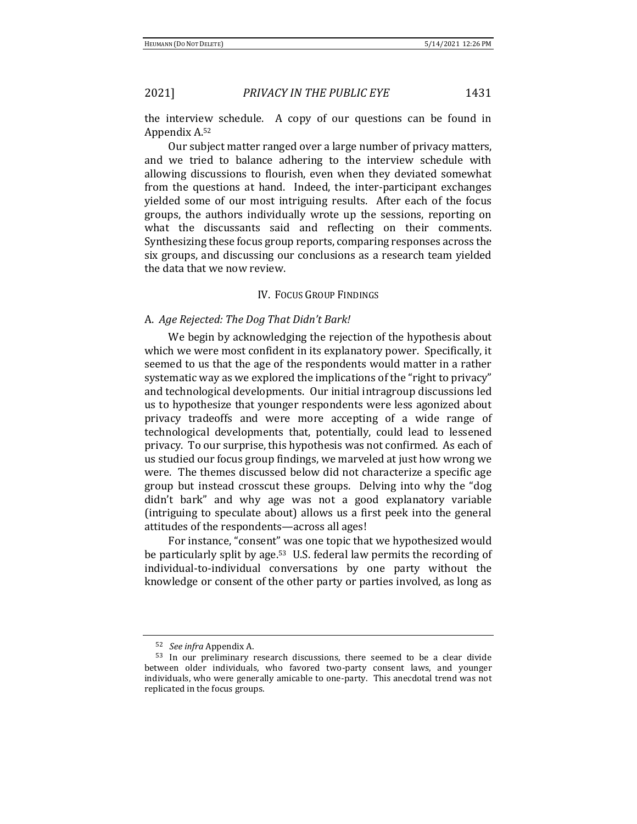the interview schedule. A copy of our questions can be found in Appendix A.<sup>52</sup>

Our subject matter ranged over a large number of privacy matters, and we tried to balance adhering to the interview schedule with allowing discussions to flourish, even when they deviated somewhat from the questions at hand. Indeed, the inter-participant exchanges yielded some of our most intriguing results. After each of the focus groups, the authors individually wrote up the sessions, reporting on what the discussants said and reflecting on their comments. Synthesizing these focus group reports, comparing responses across the six groups, and discussing our conclusions as a research team yielded the data that we now review.

### IV. FOCUS GROUP FINDINGS

# A. *Age Rejected: The Dog That Didn't Bark!*

We begin by acknowledging the rejection of the hypothesis about which we were most confident in its explanatory power. Specifically, it seemed to us that the age of the respondents would matter in a rather systematic way as we explored the implications of the "right to privacy" and technological developments. Our initial intragroup discussions led us to hypothesize that younger respondents were less agonized about privacy tradeoffs and were more accepting of a wide range of technological developments that, potentially, could lead to lessened privacy. To our surprise, this hypothesis was not confirmed. As each of us studied our focus group findings, we marveled at just how wrong we were. The themes discussed below did not characterize a specific age group but instead crosscut these groups. Delving into why the "dog didn't bark" and why age was not a good explanatory variable (intriguing to speculate about) allows us a first peek into the general attitudes of the respondents—across all ages!

For instance, "consent" was one topic that we hypothesized would be particularly split by age.53 U.S. federal law permits the recording of individual-to-individual conversations by one party without the knowledge or consent of the other party or parties involved, as long as

<sup>52</sup> *See infra* Appendix A.

<sup>53</sup> In our preliminary research discussions, there seemed to be a clear divide between older individuals, who favored two-party consent laws, and younger individuals, who were generally amicable to one-party. This anecdotal trend was not replicated in the focus groups.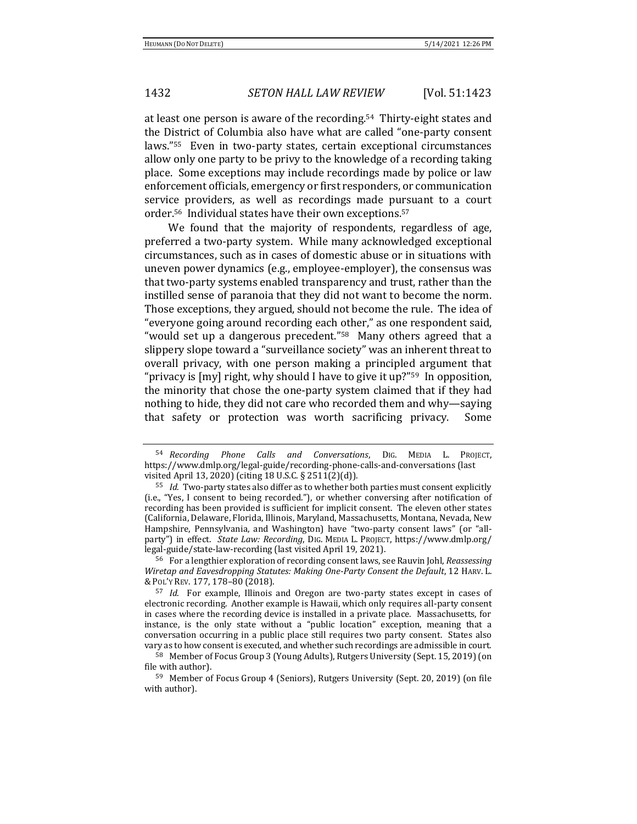at least one person is aware of the recording.54 Thirty-eight states and the District of Columbia also have what are called "one-party consent laws."55 Even in two-party states, certain exceptional circumstances allow only one party to be privy to the knowledge of a recording taking place. Some exceptions may include recordings made by police or law enforcement officials, emergency or first responders, or communication service providers, as well as recordings made pursuant to a court order.56 Individual states have their own exceptions.<sup>57</sup>

We found that the majority of respondents, regardless of age, preferred a two-party system. While many acknowledged exceptional circumstances, such as in cases of domestic abuse or in situations with uneven power dynamics (e.g., employee-employer), the consensus was that two-party systems enabled transparency and trust, rather than the instilled sense of paranoia that they did not want to become the norm. Those exceptions, they argued, should not become the rule. The idea of "everyone going around recording each other," as one respondent said, "would set up a dangerous precedent."<sup>58</sup> Many others agreed that a slippery slope toward a "surveillance society" was an inherent threat to overall privacy, with one person making a principled argument that "privacy is [my] right, why should I have to give it up?"59 In opposition, the minority that chose the one-party system claimed that if they had nothing to hide, they did not care who recorded them and why—saying that safety or protection was worth sacrificing privacy. Some

<sup>56</sup> For a lengthier exploration of recording consent laws, see Rauvin Johl, *Reassessing Wiretap and Eavesdropping Statutes: Making One-Party Consent the Default*, 12 HARV. L. & POL'Y REV. 177, 178–80 (2018).

<sup>54</sup> *Recording Phone Calls and Conversations*, DIG. MEDIA L. PROJECT, https://www.dmlp.org/legal-guide/recording-phone-calls-and-conversations (last visited April 13, 2020) (citing 18 U.S.C. § 2511(2)(d)).

<sup>55</sup> *Id*. Two-party states also differ as to whether both parties must consent explicitly (i.e., "Yes, I consent to being recorded."), or whether conversing after notification of recording has been provided is sufficient for implicit consent. The eleven other states (California, Delaware, Florida, Illinois, Maryland, Massachusetts, Montana, Nevada, New Hampshire, Pennsylvania, and Washington) have "two-party consent laws" (or "allparty") in effect. *State Law: Recording*, DIG. MEDIA L. PROJECT, https://www.dmlp.org/ legal-guide/state-law-recording (last visited April 19, 2021).

<sup>57</sup> *Id*. For example, Illinois and Oregon are two-party states except in cases of electronic recording. Another example is Hawaii, which only requires all-party consent in cases where the recording device is installed in a private place. Massachusetts, for instance, is the only state without a "public location" exception, meaning that a conversation occurring in a public place still requires two party consent. States also vary as to how consent is executed, and whether such recordings are admissible in court.

<sup>58</sup> Member of Focus Group 3 (Young Adults), Rutgers University (Sept. 15, 2019) (on file with author).

<sup>59</sup> Member of Focus Group 4 (Seniors), Rutgers University (Sept. 20, 2019) (on file with author).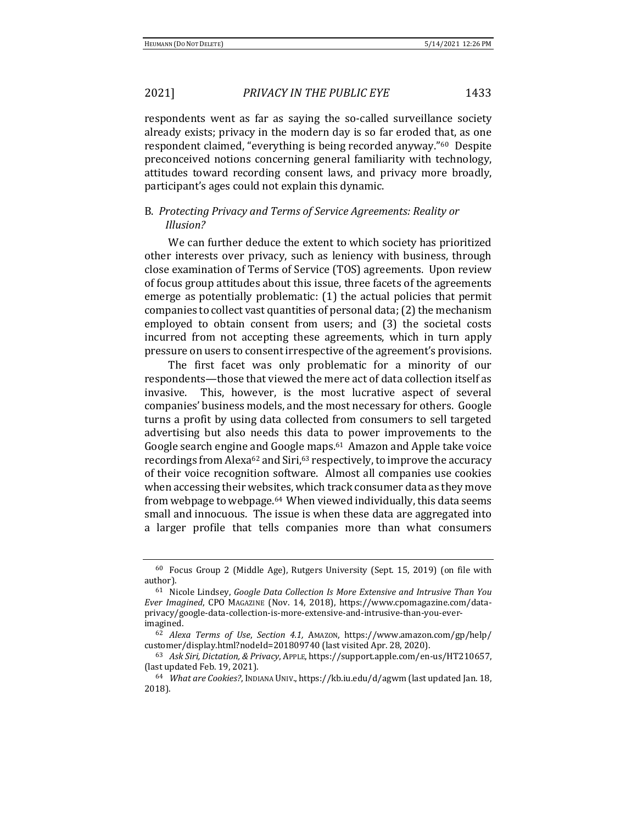respondents went as far as saying the so-called surveillance society already exists; privacy in the modern day is so far eroded that, as one respondent claimed, "everything is being recorded anyway."60 Despite preconceived notions concerning general familiarity with technology, attitudes toward recording consent laws, and privacy more broadly, participant's ages could not explain this dynamic.

# B. *Protecting Privacy and Terms of Service Agreements: Reality or Illusion?*

We can further deduce the extent to which society has prioritized other interests over privacy, such as leniency with business, through close examination of Terms of Service (TOS) agreements. Upon review of focus group attitudes about this issue, three facets of the agreements emerge as potentially problematic: (1) the actual policies that permit companies to collect vast quantities of personal data; (2) the mechanism employed to obtain consent from users; and (3) the societal costs incurred from not accepting these agreements, which in turn apply pressure on users to consent irrespective of the agreement's provisions.

The first facet was only problematic for a minority of our respondents—those that viewed the mere act of data collection itself as invasive. This, however, is the most lucrative aspect of several companies' business models, and the most necessary for others. Google turns a profit by using data collected from consumers to sell targeted advertising but also needs this data to power improvements to the Google search engine and Google maps.<sup>61</sup> Amazon and Apple take voice recordings from Alexa<sup>62</sup> and Siri,<sup>63</sup> respectively, to improve the accuracy of their voice recognition software. Almost all companies use cookies when accessing their websites, which track consumer data as they move from webpage to webpage.64 When viewed individually, this data seems small and innocuous. The issue is when these data are aggregated into a larger profile that tells companies more than what consumers

<sup>60</sup> Focus Group 2 (Middle Age), Rutgers University (Sept. 15, 2019) (on file with author).

<sup>61</sup> Nicole Lindsey, *Google Data Collection Is More Extensive and Intrusive Than You Ever Imagined*, CPO MAGAZINE (Nov. 14, 2018), https://www.cpomagazine.com/dataprivacy/google-data-collection-is-more-extensive-and-intrusive-than-you-everimagined.

<sup>62</sup> *Alexa Terms of Use*, *Section 4.1,* AMAZON, https://www.amazon.com/gp/help/ customer/display.html?nodeId=201809740 (last visited Apr. 28, 2020).

<sup>63</sup> *Ask Siri, Dictation, & Privacy*, APPLE, https://support.apple.com/en-us/HT210657, (last updated Feb. 19, 2021).

<sup>64</sup> *What are Cookies?*, INDIANA UNIV., https://kb.iu.edu/d/agwm (last updated Jan. 18, 2018).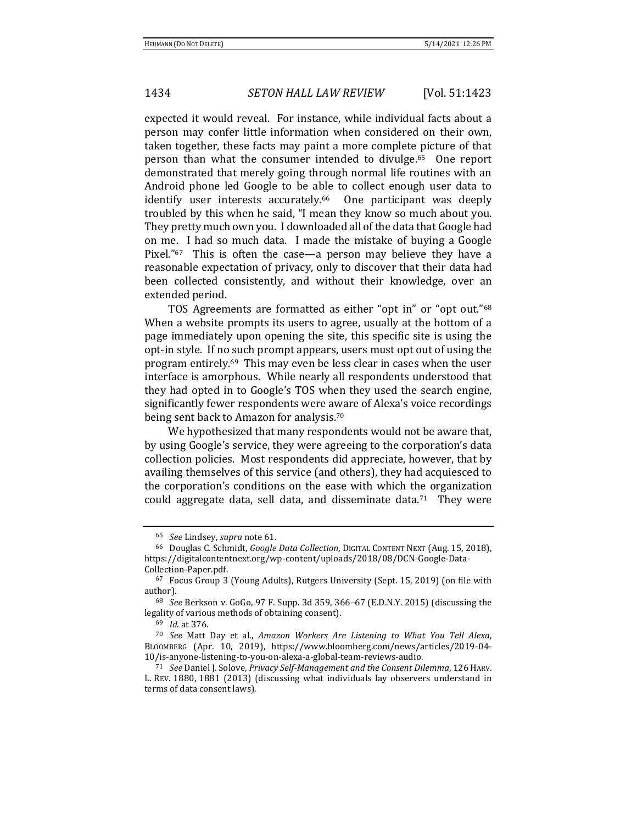expected it would reveal. For instance, while individual facts about a person may confer little information when considered on their own, taken together, these facts may paint a more complete picture of that person than what the consumer intended to divulge.65 One report demonstrated that merely going through normal life routines with an Android phone led Google to be able to collect enough user data to identify user interests accurately.<sup>66</sup> One participant was deeply troubled by this when he said, "I mean they know so much about you. They pretty much own you. I downloaded all of the data that Google had on me. I had so much data. I made the mistake of buying a Google Pixel."67 This is often the case—a person may believe they have a reasonable expectation of privacy, only to discover that their data had been collected consistently, and without their knowledge, over an extended period.

TOS Agreements are formatted as either "opt in" or "opt out."<sup>68</sup> When a website prompts its users to agree, usually at the bottom of a page immediately upon opening the site, this specific site is using the opt-in style. If no such prompt appears, users must opt out of using the program entirely.69 This may even be less clear in cases when the user interface is amorphous. While nearly all respondents understood that they had opted in to Google's TOS when they used the search engine, significantly fewer respondents were aware of Alexa's voice recordings being sent back to Amazon for analysis.<sup>70</sup>

We hypothesized that many respondents would not be aware that, by using Google's service, they were agreeing to the corporation's data collection policies. Most respondents did appreciate, however, that by availing themselves of this service (and others), they had acquiesced to the corporation's conditions on the ease with which the organization could aggregate data, sell data, and disseminate data.<sup>71</sup> They were

<sup>65</sup> *See* Lindsey, *supra* note 61.

<sup>66</sup> Douglas C. Schmidt, *Google Data Collection*, DIGITAL CONTENT NEXT (Aug. 15, 2018), https://digitalcontentnext.org/wp-content/uploads/2018/08/DCN-Google-Data-Collection-Paper.pdf.

<sup>67</sup> Focus Group 3 (Young Adults), Rutgers University (Sept. 15, 2019) (on file with author).

<sup>68</sup> *See* Berkson v. GoGo, 97 F. Supp. 3d 359, 366–67 (E.D.N.Y. 2015) (discussing the legality of various methods of obtaining consent).

<sup>69</sup> *Id.* at 376.

<sup>70</sup> *See* Matt Day et al., *Amazon Workers Are Listening to What You Tell Alexa*, BLOOMBERG (Apr. 10, 2019), https://www.bloomberg.com/news/articles/2019-04- 10/is-anyone-listening-to-you-on-alexa-a-global-team-reviews-audio.

<sup>71</sup> *See* Daniel J. Solove, *Privacy Self-Management and the Consent Dilemma*, 126HARV. L. REV. 1880, 1881 (2013) (discussing what individuals lay observers understand in terms of data consent laws).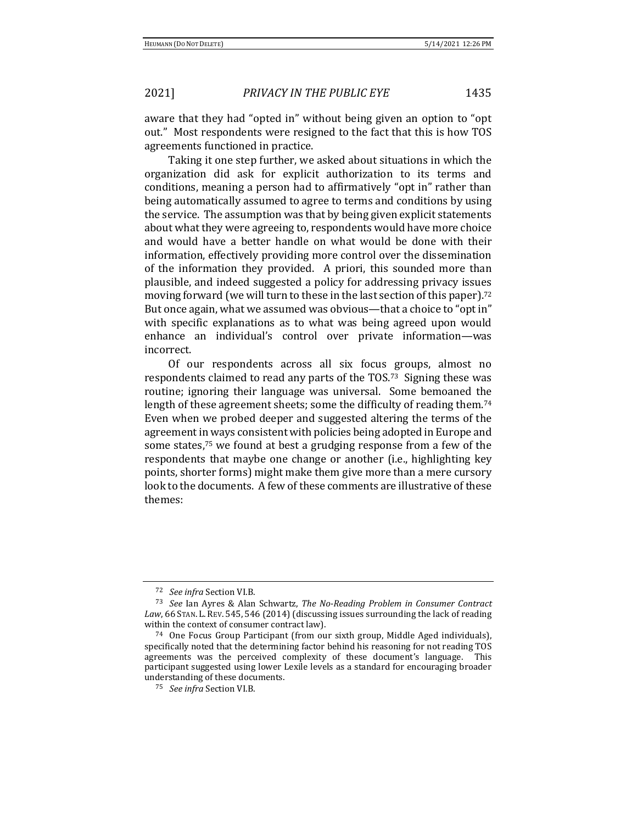aware that they had "opted in" without being given an option to "opt out." Most respondents were resigned to the fact that this is how TOS agreements functioned in practice.

Taking it one step further, we asked about situations in which the organization did ask for explicit authorization to its terms and conditions, meaning a person had to affirmatively "opt in" rather than being automatically assumed to agree to terms and conditions by using the service. The assumption was that by being given explicit statements about what they were agreeing to, respondents would have more choice and would have a better handle on what would be done with their information, effectively providing more control over the dissemination of the information they provided. A priori, this sounded more than plausible, and indeed suggested a policy for addressing privacy issues moving forward (we will turn to these in the last section of this paper).<sup>72</sup> But once again, what we assumed was obvious—that a choice to "opt in" with specific explanations as to what was being agreed upon would enhance an individual's control over private information—was incorrect.

Of our respondents across all six focus groups, almost no respondents claimed to read any parts of the TOS.73 Signing these was routine; ignoring their language was universal. Some bemoaned the length of these agreement sheets; some the difficulty of reading them.<sup>74</sup> Even when we probed deeper and suggested altering the terms of the agreement in ways consistent with policies being adopted in Europe and some states,<sup>75</sup> we found at best a grudging response from a few of the respondents that maybe one change or another (i.e., highlighting key points, shorter forms) might make them give more than a mere cursory look to the documents. A few of these comments are illustrative of these themes:

<sup>72</sup> *See infra* Section VI.B.

<sup>73</sup> *See* Ian Ayres & Alan Schwartz, *The No-Reading Problem in Consumer Contract Law*, 66 STAN. L. REV. 545, 546 (2014) (discussing issues surrounding the lack of reading within the context of consumer contract law).

<sup>74</sup> One Focus Group Participant (from our sixth group, Middle Aged individuals), specifically noted that the determining factor behind his reasoning for not reading TOS agreements was the perceived complexity of these document's language. This participant suggested using lower Lexile levels as a standard for encouraging broader understanding of these documents.

<sup>75</sup> *See infra* Section VI.B.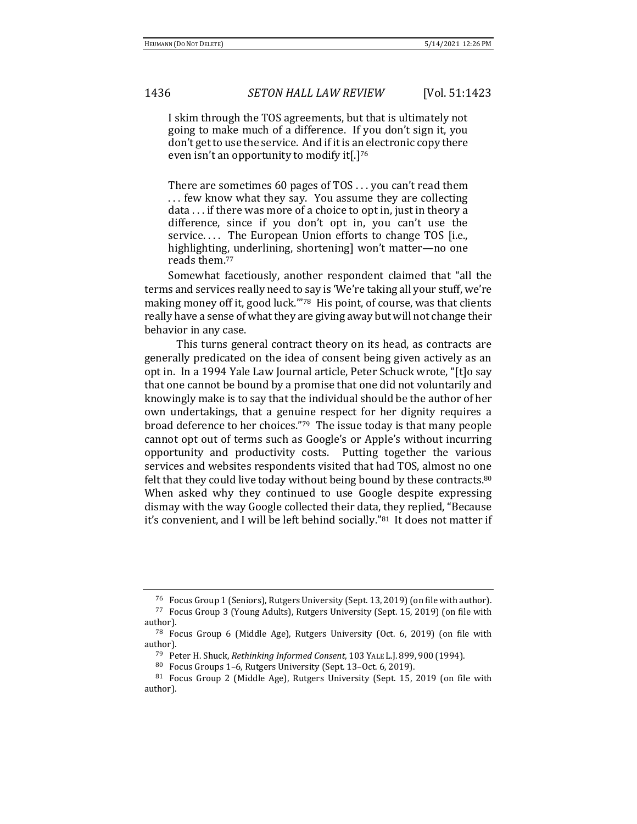I skim through the TOS agreements, but that is ultimately not going to make much of a difference. If you don't sign it, you don't get to use the service. And if it is an electronic copy there even isn't an opportunity to modify it[.]<sup>76</sup>

There are sometimes 60 pages of TOS . . . you can't read them . . . few know what they say. You assume they are collecting data . . . if there was more of a choice to opt in, just in theory a difference, since if you don't opt in, you can't use the service.... The European Union efforts to change TOS [i.e., highlighting, underlining, shortening] won't matter—no one reads them.<sup>77</sup>

Somewhat facetiously, another respondent claimed that "all the terms and services really need to say is 'We're taking all your stuff, we're making money off it, good luck."<sup>78</sup> His point, of course, was that clients really have a sense of what they are giving away but will not change their behavior in any case.

This turns general contract theory on its head, as contracts are generally predicated on the idea of consent being given actively as an opt in. In a 1994 Yale Law Journal article, Peter Schuck wrote, "[t]o say that one cannot be bound by a promise that one did not voluntarily and knowingly make is to say that the individual should be the author of her own undertakings, that a genuine respect for her dignity requires a broad deference to her choices."79 The issue today is that many people cannot opt out of terms such as Google's or Apple's without incurring opportunity and productivity costs. Putting together the various services and websites respondents visited that had TOS, almost no one felt that they could live today without being bound by these contracts.<sup>80</sup> When asked why they continued to use Google despite expressing dismay with the way Google collected their data, they replied, "Because it's convenient, and I will be left behind socially."81 It does not matter if

<sup>76</sup> Focus Group 1 (Seniors), Rutgers University (Sept. 13, 2019) (on file with author).

<sup>77</sup> Focus Group 3 (Young Adults), Rutgers University (Sept. 15, 2019) (on file with author).

<sup>78</sup> Focus Group 6 (Middle Age), Rutgers University (Oct. 6, 2019) (on file with author).

<sup>79</sup> Peter H. Shuck, *Rethinking Informed Consent*, 103 YALE L.J. 899, 900 (1994).

<sup>80</sup> Focus Groups 1–6, Rutgers University (Sept. 13–Oct. 6, 2019).

<sup>81</sup> Focus Group 2 (Middle Age), Rutgers University (Sept. 15, 2019 (on file with author).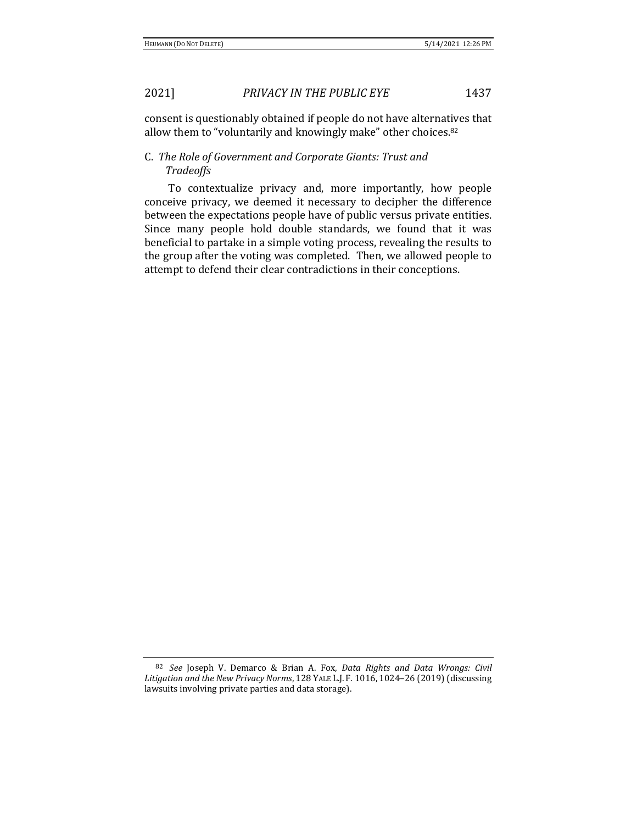consent is questionably obtained if people do not have alternatives that allow them to "voluntarily and knowingly make" other choices.<sup>82</sup>

# C. *The Role of Government and Corporate Giants: Trust and Tradeoffs*

To contextualize privacy and, more importantly, how people conceive privacy, we deemed it necessary to decipher the difference between the expectations people have of public versus private entities. Since many people hold double standards, we found that it was beneficial to partake in a simple voting process, revealing the results to the group after the voting was completed. Then, we allowed people to attempt to defend their clear contradictions in their conceptions.

<sup>82</sup> *See* Joseph V. Demarco & Brian A. Fox, *Data Rights and Data Wrongs: Civil Litigation and the New Privacy Norms*, 128 YALE L.J. F. 1016, 1024–26 (2019) (discussing lawsuits involving private parties and data storage).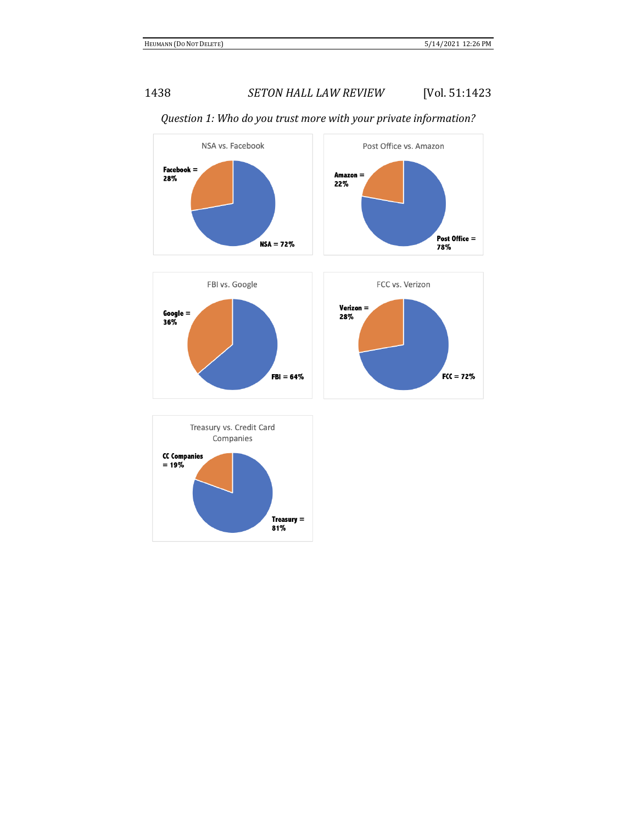

# *Question 1: Who do you trust more with your private information?*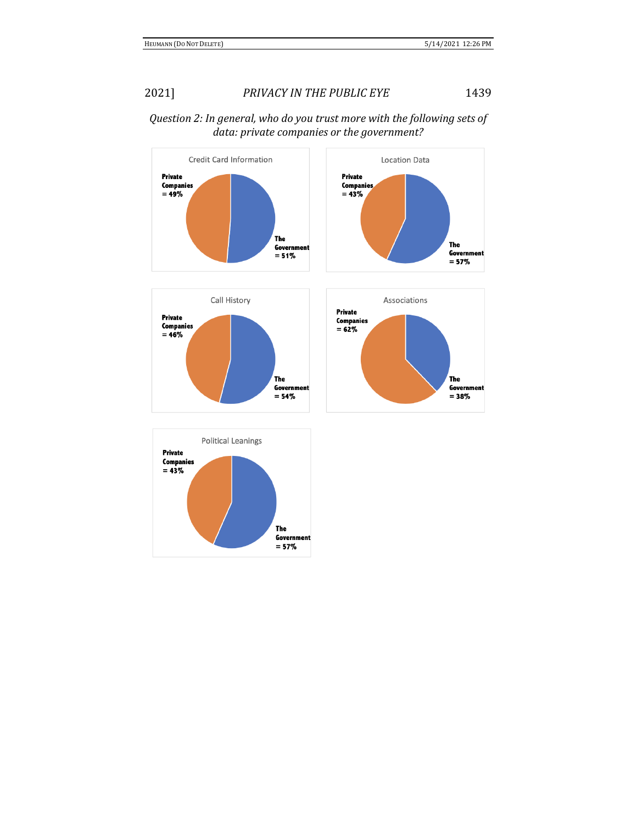

# *Question 2: In general, who do you trust more with the following sets of data: private companies or the government?*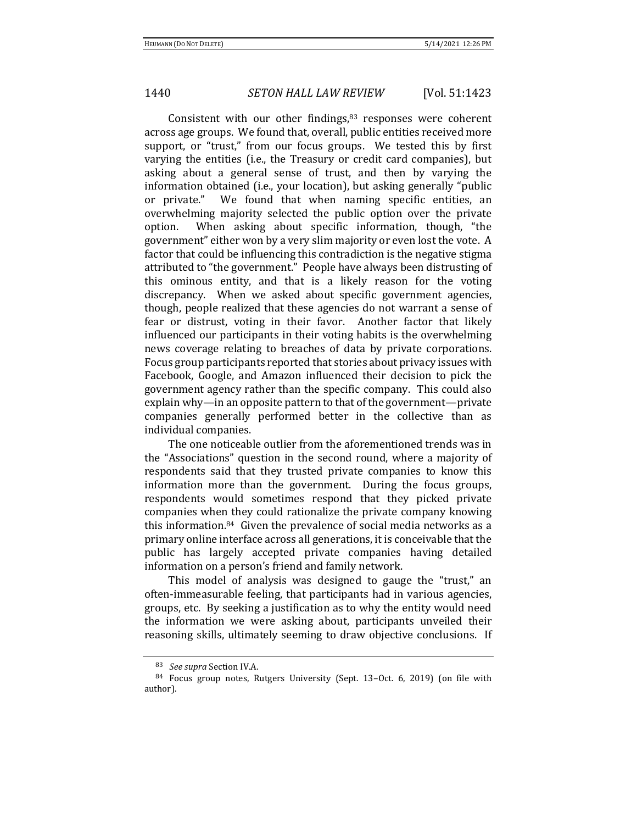Consistent with our other findings, $83$  responses were coherent across age groups. We found that, overall, public entities received more support, or "trust," from our focus groups. We tested this by first varying the entities (i.e., the Treasury or credit card companies), but asking about a general sense of trust, and then by varying the information obtained (i.e., your location), but asking generally "public or private." We found that when naming specific entities, an overwhelming majority selected the public option over the private option. When asking about specific information, though, "the government" either won by a very slim majority or even lost the vote. A factor that could be influencing this contradiction is the negative stigma attributed to "the government." People have always been distrusting of this ominous entity, and that is a likely reason for the voting discrepancy. When we asked about specific government agencies, though, people realized that these agencies do not warrant a sense of fear or distrust, voting in their favor. Another factor that likely influenced our participants in their voting habits is the overwhelming news coverage relating to breaches of data by private corporations. Focus group participants reported that stories about privacy issues with Facebook, Google, and Amazon influenced their decision to pick the government agency rather than the specific company. This could also explain why—in an opposite pattern to that of the government—private companies generally performed better in the collective than as individual companies.

The one noticeable outlier from the aforementioned trends was in the "Associations" question in the second round, where a majority of respondents said that they trusted private companies to know this information more than the government. During the focus groups, respondents would sometimes respond that they picked private companies when they could rationalize the private company knowing this information.84 Given the prevalence of social media networks as a primary online interface across all generations, it is conceivable that the public has largely accepted private companies having detailed information on a person's friend and family network.

This model of analysis was designed to gauge the "trust," an often-immeasurable feeling, that participants had in various agencies, groups, etc. By seeking a justification as to why the entity would need the information we were asking about, participants unveiled their reasoning skills, ultimately seeming to draw objective conclusions. If

<sup>83</sup> *See supra* Section IV.A.

<sup>84</sup> Focus group notes, Rutgers University (Sept. 13–Oct. 6, 2019) (on file with author).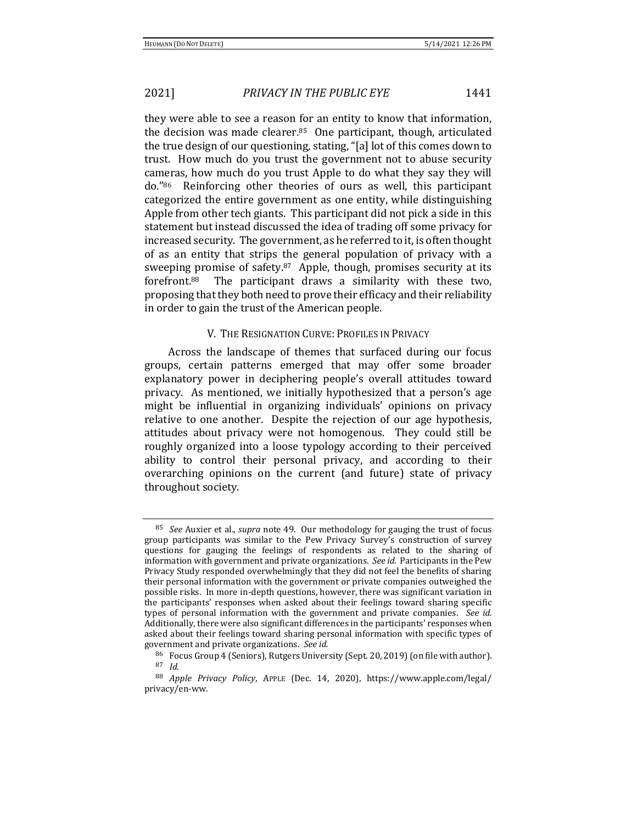they were able to see a reason for an entity to know that information, the decision was made clearer. $85$  One participant, though, articulated the true design of our questioning, stating, "[a] lot of this comes down to trust. How much do you trust the government not to abuse security cameras, how much do you trust Apple to do what they say they will do."<sup>86</sup> Reinforcing other theories of ours as well, this participant categorized the entire government as one entity, while distinguishing Apple from other tech giants. This participant did not pick a side in this statement but instead discussed the idea of trading off some privacy for increased security. The government, as he referred to it, is often thought of as an entity that strips the general population of privacy with a sweeping promise of safety.<sup>87</sup> Apple, though, promises security at its forefront.88 The participant draws a similarity with these two, proposing that they both need to prove their efficacy and their reliability in order to gain the trust of the American people.

## V. THE RESIGNATION CURVE: PROFILES IN PRIVACY

Across the landscape of themes that surfaced during our focus groups, certain patterns emerged that may offer some broader explanatory power in deciphering people's overall attitudes toward privacy. As mentioned, we initially hypothesized that a person's age might be influential in organizing individuals' opinions on privacy relative to one another. Despite the rejection of our age hypothesis, attitudes about privacy were not homogenous. They could still be roughly organized into a loose typology according to their perceived ability to control their personal privacy, and according to their overarching opinions on the current (and future) state of privacy throughout society.

<sup>85</sup> *See* Auxier et al., *supra* note 49. Our methodology for gauging the trust of focus group participants was similar to the Pew Privacy Survey's construction of survey questions for gauging the feelings of respondents as related to the sharing of information with government and private organizations. *See id.* Participants in the Pew Privacy Study responded overwhelmingly that they did not feel the benefits of sharing their personal information with the government or private companies outweighed the possible risks. In more in-depth questions, however, there was significant variation in the participants' responses when asked about their feelings toward sharing specific types of personal information with the government and private companies. *See id.* Additionally, there were also significant differences in the participants' responses when asked about their feelings toward sharing personal information with specific types of government and private organizations. *See id.*

<sup>86</sup> Focus Group 4 (Seniors), Rutgers University (Sept. 20, 2019) (on file with author). <sup>87</sup> *Id.*

<sup>88</sup> *Apple Privacy Policy*, APPLE (Dec. 14, 2020), https://www.apple.com/legal/ privacy/en-ww.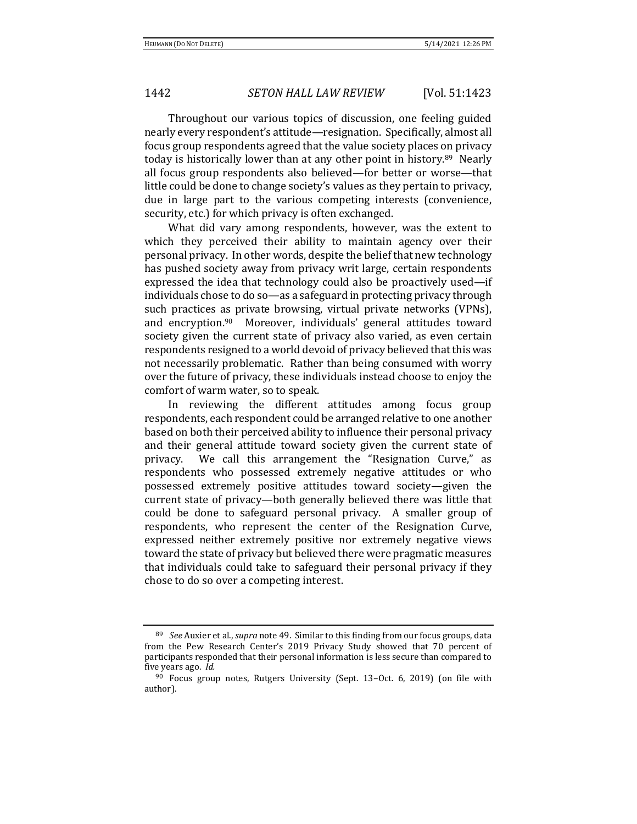Throughout our various topics of discussion, one feeling guided nearly every respondent's attitude—resignation. Specifically, almost all focus group respondents agreed that the value society places on privacy today is historically lower than at any other point in history.89 Nearly all focus group respondents also believed—for better or worse—that little could be done to change society's values as they pertain to privacy, due in large part to the various competing interests (convenience, security, etc.) for which privacy is often exchanged.

What did vary among respondents, however, was the extent to which they perceived their ability to maintain agency over their personal privacy. In other words, despite the belief that new technology has pushed society away from privacy writ large, certain respondents expressed the idea that technology could also be proactively used—if individuals chose to do so—as a safeguard in protecting privacy through such practices as private browsing, virtual private networks (VPNs), and encryption.<sup>90</sup> Moreover, individuals' general attitudes toward society given the current state of privacy also varied, as even certain respondents resigned to a world devoid of privacy believed that this was not necessarily problematic. Rather than being consumed with worry over the future of privacy, these individuals instead choose to enjoy the comfort of warm water, so to speak.

In reviewing the different attitudes among focus group respondents, each respondent could be arranged relative to one another based on both their perceived ability to influence their personal privacy and their general attitude toward society given the current state of privacy. We call this arrangement the "Resignation Curve," as respondents who possessed extremely negative attitudes or who possessed extremely positive attitudes toward society—given the current state of privacy—both generally believed there was little that could be done to safeguard personal privacy. A smaller group of respondents, who represent the center of the Resignation Curve, expressed neither extremely positive nor extremely negative views toward the state of privacy but believed there were pragmatic measures that individuals could take to safeguard their personal privacy if they chose to do so over a competing interest.

<sup>89</sup> *See* Auxier et al., *supra* note 49. Similar to this finding from our focus groups, data from the Pew Research Center's 2019 Privacy Study showed that 70 percent of participants responded that their personal information is less secure than compared to five years ago. *Id.*

<sup>90</sup> Focus group notes, Rutgers University (Sept. 13–Oct. 6, 2019) (on file with author).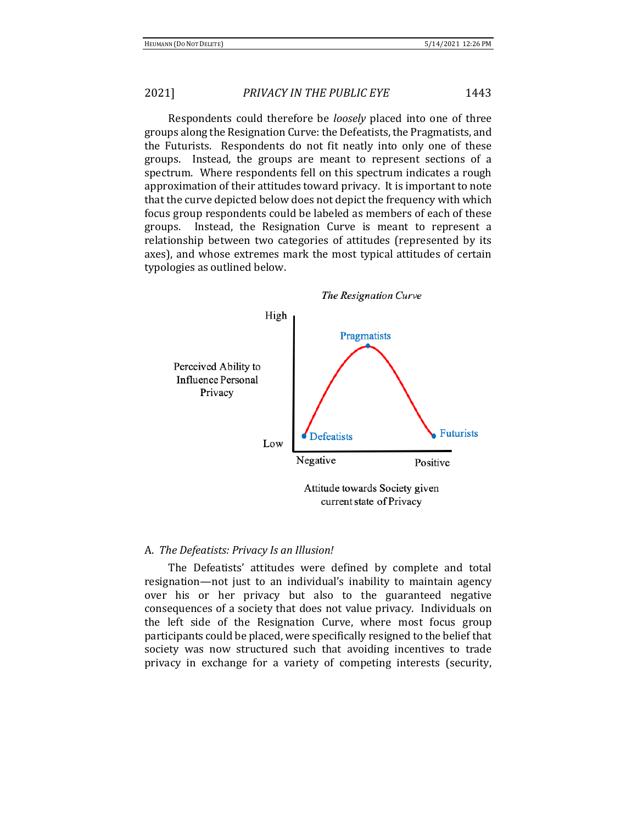Respondents could therefore be *loosely* placed into one of three groups along the Resignation Curve: the Defeatists, the Pragmatists, and the Futurists. Respondents do not fit neatly into only one of these groups. Instead, the groups are meant to represent sections of a spectrum. Where respondents fell on this spectrum indicates a rough approximation of their attitudes toward privacy. It is important to note that the curve depicted below does not depict the frequency with which focus group respondents could be labeled as members of each of these groups. Instead, the Resignation Curve is meant to represent a relationship between two categories of attitudes (represented by its axes), and whose extremes mark the most typical attitudes of certain typologies as outlined below.



### A. *The Defeatists: Privacy Is an Illusion!*

The Defeatists' attitudes were defined by complete and total resignation—not just to an individual's inability to maintain agency over his or her privacy but also to the guaranteed negative consequences of a society that does not value privacy. Individuals on the left side of the Resignation Curve, where most focus group participants could be placed, were specifically resigned to the belief that society was now structured such that avoiding incentives to trade privacy in exchange for a variety of competing interests (security,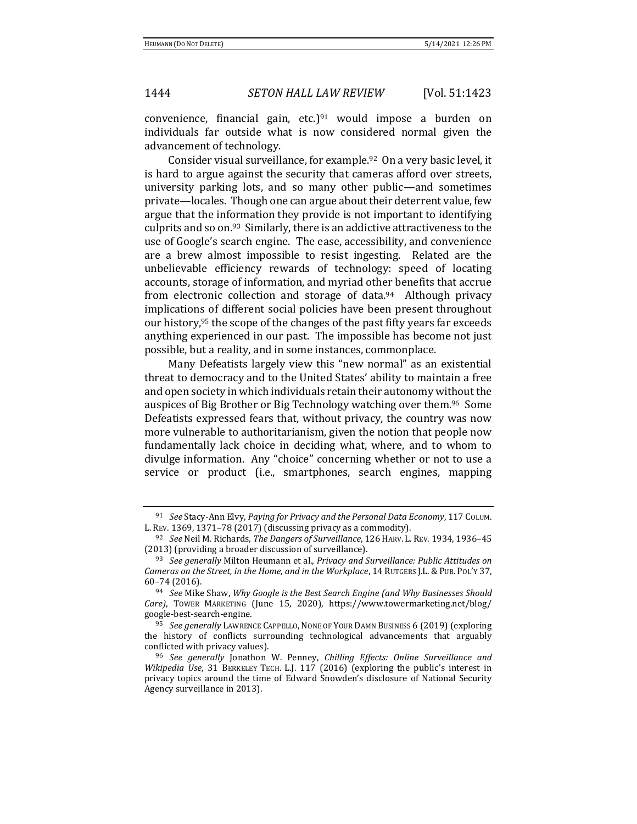convenience, financial gain, etc.)<sup>91</sup> would impose a burden on individuals far outside what is now considered normal given the advancement of technology.

Consider visual surveillance, for example.92 On a very basic level, it is hard to argue against the security that cameras afford over streets, university parking lots, and so many other public—and sometimes private—locales. Though one can argue about their deterrent value, few argue that the information they provide is not important to identifying culprits and so on.93 Similarly, there is an addictive attractiveness to the use of Google's search engine. The ease, accessibility, and convenience are a brew almost impossible to resist ingesting. Related are the unbelievable efficiency rewards of technology: speed of locating accounts, storage of information, and myriad other benefits that accrue from electronic collection and storage of data.<sup>94</sup> Although privacy implications of different social policies have been present throughout our history,<sup>95</sup> the scope of the changes of the past fifty years far exceeds anything experienced in our past. The impossible has become not just possible, but a reality, and in some instances, commonplace.

Many Defeatists largely view this "new normal" as an existential threat to democracy and to the United States' ability to maintain a free and open society in which individuals retain their autonomy without the auspices of Big Brother or Big Technology watching over them.96 Some Defeatists expressed fears that, without privacy, the country was now more vulnerable to authoritarianism, given the notion that people now fundamentally lack choice in deciding what, where, and to whom to divulge information. Any "choice" concerning whether or not to use a service or product (i.e., smartphones, search engines, mapping

<sup>91</sup> *See* Stacy-Ann Elvy, *Paying for Privacy and the Personal Data Economy*, 117 COLUM. L. REV. 1369, 1371–78 (2017) (discussing privacy as a commodity).

<sup>92</sup> *See* Neil M. Richards, *The Dangers of Surveillance*, 126HARV. L.REV. 1934, 1936–45 (2013) (providing a broader discussion of surveillance).

<sup>93</sup> *See generally* Milton Heumann et al., *Privacy and Surveillance: Public Attitudes on Cameras on the Street, in the Home, and in the Workplace*, 14 RUTGERS J.L.& PUB. POL'Y 37, 60–74 (2016).

<sup>94</sup> *See* Mike Shaw, *Why Google is the Best Search Engine (and Why Businesses Should Care)*, TOWER MARKETING (June 15, 2020), https://www.towermarketing.net/blog/ google-best-search-engine.

<sup>&</sup>lt;sup>95</sup> See generally LAWRENCE CAPPELLO, NONE OF YOUR DAMN BUSINESS 6 (2019) (exploring the history of conflicts surrounding technological advancements that arguably conflicted with privacy values).

<sup>96</sup> *See generally* Jonathon W. Penney, *Chilling Effects: Online Surveillance and Wikipedia Use*, 31 BERKELEY TECH. L.J. 117 (2016) (exploring the public's interest in privacy topics around the time of Edward Snowden's disclosure of National Security Agency surveillance in 2013).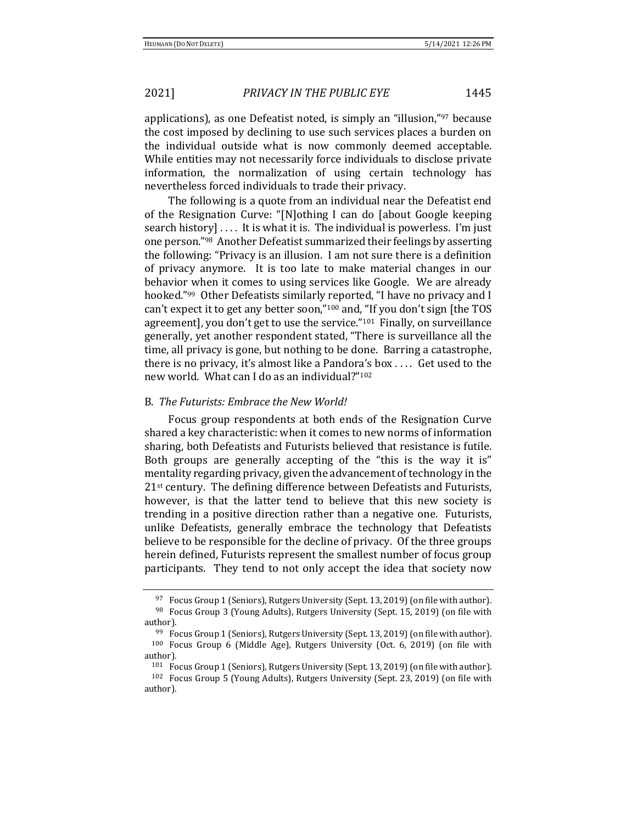applications), as one Defeatist noted, is simply an "illusion,"<sup>97</sup> because the cost imposed by declining to use such services places a burden on the individual outside what is now commonly deemed acceptable. While entities may not necessarily force individuals to disclose private information, the normalization of using certain technology has nevertheless forced individuals to trade their privacy.

The following is a quote from an individual near the Defeatist end of the Resignation Curve: "[N]othing I can do [about Google keeping search history] . . . . It is what it is. The individual is powerless. I'm just one person."98 Another Defeatist summarized their feelings by asserting the following: "Privacy is an illusion. I am not sure there is a definition of privacy anymore. It is too late to make material changes in our behavior when it comes to using services like Google. We are already hooked."99 Other Defeatists similarly reported, "I have no privacy and I can't expect it to get any better soon,"<sup>100</sup> and, "If you don't sign [the TOS agreement], you don't get to use the service."101 Finally, on surveillance generally, yet another respondent stated, "There is surveillance all the time, all privacy is gone, but nothing to be done. Barring a catastrophe, there is no privacy, it's almost like a Pandora's box . . . . Get used to the new world. What can I do as an individual?"<sup>102</sup>

### B. *The Futurists: Embrace the New World!*

Focus group respondents at both ends of the Resignation Curve shared a key characteristic: when it comes to new norms of information sharing, both Defeatists and Futurists believed that resistance is futile. Both groups are generally accepting of the "this is the way it is" mentality regarding privacy, given the advancement of technology in the 21st century. The defining difference between Defeatists and Futurists, however, is that the latter tend to believe that this new society is trending in a positive direction rather than a negative one. Futurists, unlike Defeatists, generally embrace the technology that Defeatists believe to be responsible for the decline of privacy. Of the three groups herein defined, Futurists represent the smallest number of focus group participants. They tend to not only accept the idea that society now

 $97$  Focus Group 1 (Seniors), Rutgers University (Sept. 13, 2019) (on file with author). <sup>98</sup> Focus Group 3 (Young Adults), Rutgers University (Sept. 15, 2019) (on file with author).

<sup>99</sup> Focus Group 1 (Seniors), Rutgers University (Sept. 13, 2019) (on file with author). <sup>100</sup> Focus Group 6 (Middle Age), Rutgers University (Oct. 6, 2019) (on file with author).

<sup>101</sup> Focus Group 1 (Seniors), Rutgers University (Sept. 13, 2019) (on file with author). <sup>102</sup> Focus Group 5 (Young Adults), Rutgers University (Sept. 23, 2019) (on file with author).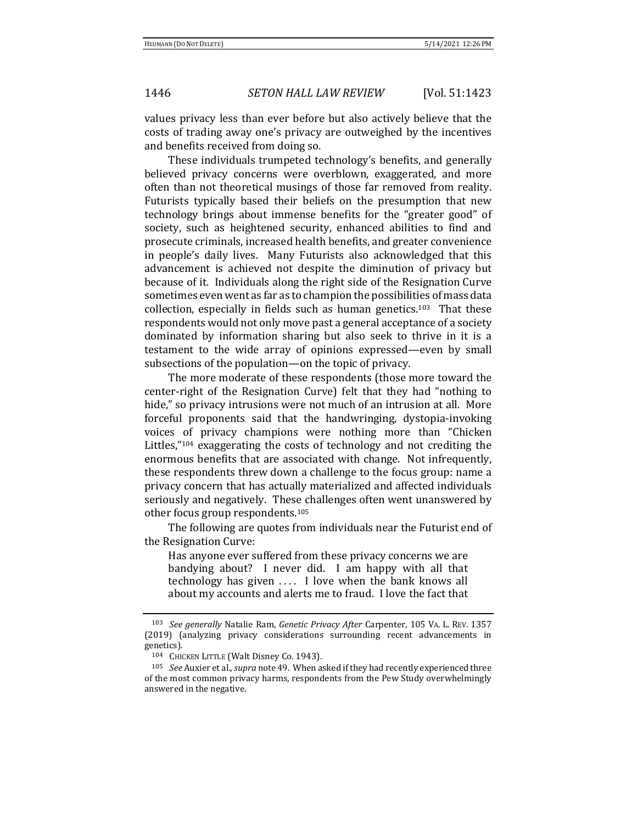values privacy less than ever before but also actively believe that the costs of trading away one's privacy are outweighed by the incentives and benefits received from doing so.

These individuals trumpeted technology's benefits, and generally believed privacy concerns were overblown, exaggerated, and more often than not theoretical musings of those far removed from reality. Futurists typically based their beliefs on the presumption that new technology brings about immense benefits for the "greater good" of society, such as heightened security, enhanced abilities to find and prosecute criminals, increased health benefits, and greater convenience in people's daily lives. Many Futurists also acknowledged that this advancement is achieved not despite the diminution of privacy but because of it. Individuals along the right side of the Resignation Curve sometimes even went as far as to champion the possibilities of mass data collection, especially in fields such as human genetics.103 That these respondents would not only move past a general acceptance of a society dominated by information sharing but also seek to thrive in it is a testament to the wide array of opinions expressed—even by small subsections of the population—on the topic of privacy.

The more moderate of these respondents (those more toward the center-right of the Resignation Curve) felt that they had "nothing to hide," so privacy intrusions were not much of an intrusion at all. More forceful proponents said that the handwringing, dystopia-invoking voices of privacy champions were nothing more than "Chicken Littles,"<sup>104</sup> exaggerating the costs of technology and not crediting the enormous benefits that are associated with change. Not infrequently, these respondents threw down a challenge to the focus group: name a privacy concern that has actually materialized and affected individuals seriously and negatively. These challenges often went unanswered by other focus group respondents.<sup>105</sup>

The following are quotes from individuals near the Futurist end of the Resignation Curve:

Has anyone ever suffered from these privacy concerns we are bandying about? I never did. I am happy with all that technology has given .... I love when the bank knows all about my accounts and alerts me to fraud. I love the fact that

<sup>103</sup> *See generally* Natalie Ram, *Genetic Privacy After* Carpenter, 105 VA. L. REV. 1357 (2019) (analyzing privacy considerations surrounding recent advancements in genetics).

<sup>104</sup> CHICKEN LITTLE (Walt Disney Co. 1943).

<sup>105</sup> *See* Auxier et al., *supra* note 49. When asked if they had recently experienced three of the most common privacy harms, respondents from the Pew Study overwhelmingly answered in the negative.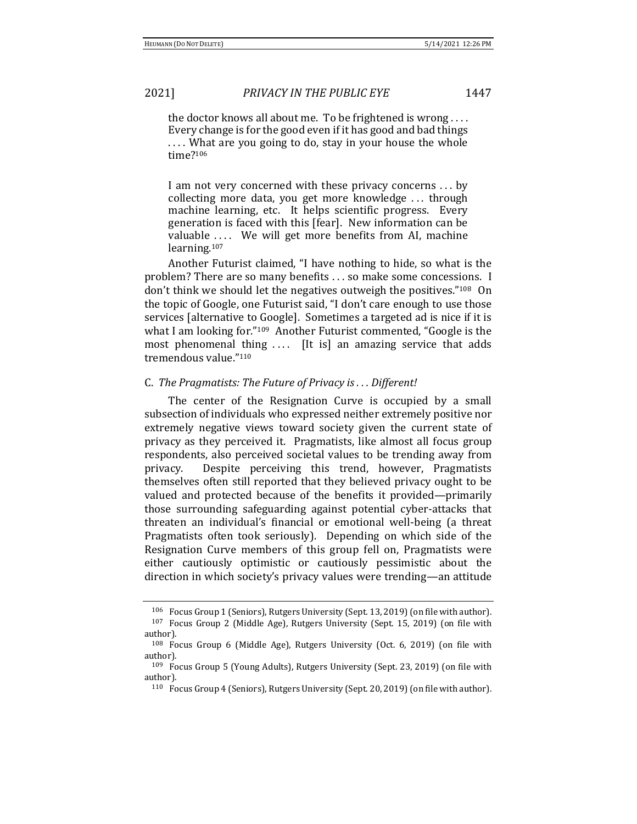the doctor knows all about me. To be frightened is wrong . . . . Every change is for the good even if it has good and bad things .... What are you going to do, stay in your house the whole time?<sup>106</sup>

I am not very concerned with these privacy concerns . . . by collecting more data, you get more knowledge . . . through machine learning, etc. It helps scientific progress. Every generation is faced with this [fear]. New information can be valuable .... We will get more benefits from AI, machine learning.<sup>107</sup>

Another Futurist claimed, "I have nothing to hide, so what is the problem? There are so many benefits . . . so make some concessions. I don't think we should let the negatives outweigh the positives."108 On the topic of Google, one Futurist said, "I don't care enough to use those services [alternative to Google]. Sometimes a targeted ad is nice if it is what I am looking for."<sup>109</sup> Another Futurist commented, "Google is the most phenomenal thing .... [It is] an amazing service that adds tremendous value."<sup>110</sup>

### C. *The Pragmatists: The Future of Privacy is . . . Different!*

The center of the Resignation Curve is occupied by a small subsection of individuals who expressed neither extremely positive nor extremely negative views toward society given the current state of privacy as they perceived it. Pragmatists, like almost all focus group respondents, also perceived societal values to be trending away from privacy. Despite perceiving this trend, however, Pragmatists themselves often still reported that they believed privacy ought to be valued and protected because of the benefits it provided—primarily those surrounding safeguarding against potential cyber-attacks that threaten an individual's financial or emotional well-being (a threat Pragmatists often took seriously). Depending on which side of the Resignation Curve members of this group fell on, Pragmatists were either cautiously optimistic or cautiously pessimistic about the direction in which society's privacy values were trending—an attitude

<sup>106</sup> Focus Group 1 (Seniors), Rutgers University (Sept. 13, 2019) (on file with author). <sup>107</sup> Focus Group 2 (Middle Age), Rutgers University (Sept. 15, 2019) (on file with author).

<sup>108</sup> Focus Group 6 (Middle Age), Rutgers University (Oct. 6, 2019) (on file with author).

<sup>109</sup> Focus Group 5 (Young Adults), Rutgers University (Sept. 23, 2019) (on file with author).

<sup>110</sup> Focus Group 4 (Seniors), Rutgers University (Sept. 20, 2019) (on file with author).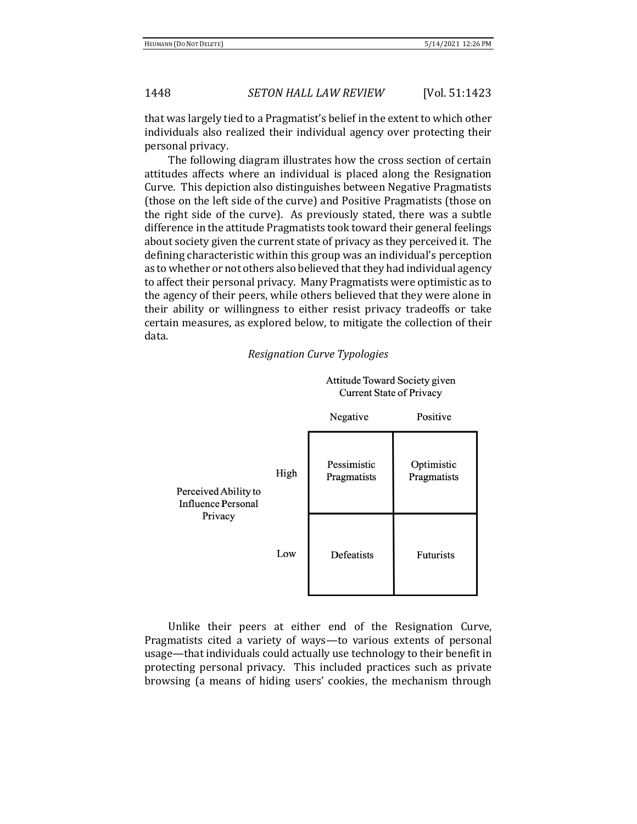that was largely tied to a Pragmatist's belief in the extent to which other individuals also realized their individual agency over protecting their personal privacy.

The following diagram illustrates how the cross section of certain attitudes affects where an individual is placed along the Resignation Curve. This depiction also distinguishes between Negative Pragmatists (those on the left side of the curve) and Positive Pragmatists (those on the right side of the curve). As previously stated, there was a subtle difference in the attitude Pragmatists took toward their general feelings about society given the current state of privacy as they perceived it. The defining characteristic within this group was an individual's perception as to whether or not others also believed that they had individual agency to affect their personal privacy. Many Pragmatists were optimistic as to the agency of their peers, while others believed that they were alone in their ability or willingness to either resist privacy tradeoffs or take certain measures, as explored below, to mitigate the collection of their data.



### *Resignation Curve Typologies*

Unlike their peers at either end of the Resignation Curve, Pragmatists cited a variety of ways—to various extents of personal usage—that individuals could actually use technology to their benefit in protecting personal privacy. This included practices such as private browsing (a means of hiding users' cookies, the mechanism through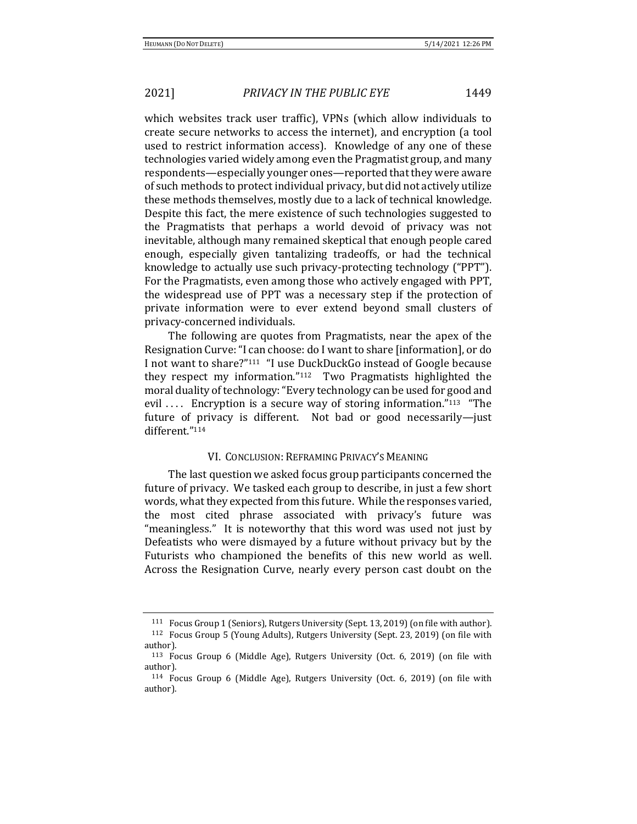which websites track user traffic), VPNs (which allow individuals to create secure networks to access the internet), and encryption (a tool used to restrict information access). Knowledge of any one of these technologies varied widely among even the Pragmatist group, and many respondents—especially younger ones—reported that they were aware of such methods to protect individual privacy, but did not actively utilize these methods themselves, mostly due to a lack of technical knowledge. Despite this fact, the mere existence of such technologies suggested to the Pragmatists that perhaps a world devoid of privacy was not inevitable, although many remained skeptical that enough people cared enough, especially given tantalizing tradeoffs, or had the technical knowledge to actually use such privacy-protecting technology ("PPT"). For the Pragmatists, even among those who actively engaged with PPT, the widespread use of PPT was a necessary step if the protection of private information were to ever extend beyond small clusters of privacy-concerned individuals.

The following are quotes from Pragmatists, near the apex of the Resignation Curve: "I can choose: do I want to share [information], or do I not want to share?"<sup>111</sup> "I use DuckDuckGo instead of Google because they respect my information."112 Two Pragmatists highlighted the moral duality of technology: "Every technology can be used for good and evil .... Encryption is a secure way of storing information."<sup>113</sup> "The future of privacy is different. Not bad or good necessarily—just different."<sup>114</sup>

### VI. CONCLUSION: REFRAMING PRIVACY'S MEANING

The last question we asked focus group participants concerned the future of privacy. We tasked each group to describe, in just a few short words, what they expected from this future. While the responses varied, the most cited phrase associated with privacy's future was "meaningless." It is noteworthy that this word was used not just by Defeatists who were dismayed by a future without privacy but by the Futurists who championed the benefits of this new world as well. Across the Resignation Curve, nearly every person cast doubt on the

<sup>111</sup> Focus Group 1 (Seniors), Rutgers University (Sept. 13, 2019) (on file with author). <sup>112</sup> Focus Group 5 (Young Adults), Rutgers University (Sept. 23, 2019) (on file with author).

<sup>113</sup> Focus Group 6 (Middle Age), Rutgers University (Oct. 6, 2019) (on file with author).

<sup>114</sup> Focus Group 6 (Middle Age), Rutgers University (Oct. 6, 2019) (on file with author).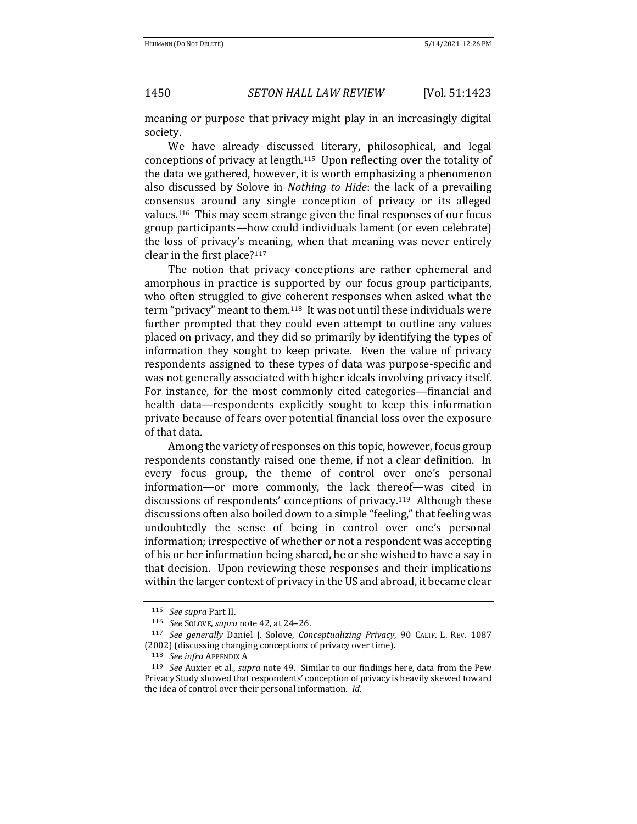meaning or purpose that privacy might play in an increasingly digital society.

We have already discussed literary, philosophical, and legal conceptions of privacy at length.115 Upon reflecting over the totality of the data we gathered, however, it is worth emphasizing a phenomenon also discussed by Solove in *Nothing to Hide*: the lack of a prevailing consensus around any single conception of privacy or its alleged values*.* <sup>116</sup> This may seem strange given the final responses of our focus group participants—how could individuals lament (or even celebrate) the loss of privacy's meaning, when that meaning was never entirely clear in the first place?<sup>117</sup>

The notion that privacy conceptions are rather ephemeral and amorphous in practice is supported by our focus group participants, who often struggled to give coherent responses when asked what the term "privacy" meant to them.118 It was not until these individuals were further prompted that they could even attempt to outline any values placed on privacy, and they did so primarily by identifying the types of information they sought to keep private. Even the value of privacy respondents assigned to these types of data was purpose-specific and was not generally associated with higher ideals involving privacy itself. For instance, for the most commonly cited categories—financial and health data—respondents explicitly sought to keep this information private because of fears over potential financial loss over the exposure of that data.

Among the variety of responses on this topic, however, focus group respondents constantly raised one theme, if not a clear definition. In every focus group, the theme of control over one's personal information—or more commonly, the lack thereof—was cited in discussions of respondents' conceptions of privacy.<sup>119</sup> Although these discussions often also boiled down to a simple "feeling," that feeling was undoubtedly the sense of being in control over one's personal information; irrespective of whether or not a respondent was accepting of his or her information being shared, he or she wished to have a say in that decision. Upon reviewing these responses and their implications within the larger context of privacy in the US and abroad, it became clear

<sup>115</sup> *See supra* Part II.

<sup>116</sup> *See* SOLOVE, *supra* note 42, at 24–26.

<sup>117</sup> *See generally* Daniel J. Solove, *Conceptualizing Privacy*, 90 CALIF. L. REV. 1087 (2002) (discussing changing conceptions of privacy over time).

<sup>118</sup> *See infra* APPENDIX A

<sup>119</sup> *See* Auxier et al., *supra* note 49. Similar to our findings here, data from the Pew Privacy Study showed that respondents' conception of privacy is heavily skewed toward the idea of control over their personal information. *Id.*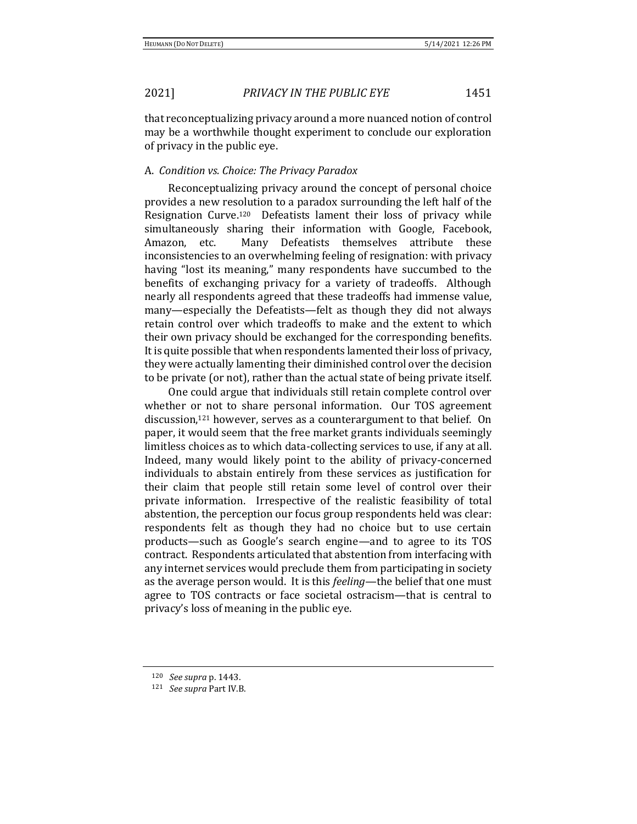that reconceptualizing privacy around a more nuanced notion of control may be a worthwhile thought experiment to conclude our exploration of privacy in the public eye.

# A. *Condition vs. Choice: The Privacy Paradox*

Reconceptualizing privacy around the concept of personal choice provides a new resolution to a paradox surrounding the left half of the Resignation Curve.120 Defeatists lament their loss of privacy while simultaneously sharing their information with Google, Facebook, Amazon, etc. Many Defeatists themselves attribute these inconsistencies to an overwhelming feeling of resignation: with privacy having "lost its meaning," many respondents have succumbed to the benefits of exchanging privacy for a variety of tradeoffs. Although nearly all respondents agreed that these tradeoffs had immense value, many—especially the Defeatists—felt as though they did not always retain control over which tradeoffs to make and the extent to which their own privacy should be exchanged for the corresponding benefits. It is quite possible that when respondents lamented their loss of privacy, they were actually lamenting their diminished control over the decision to be private (or not), rather than the actual state of being private itself.

One could argue that individuals still retain complete control over whether or not to share personal information. Our TOS agreement discussion,<sup>121</sup> however, serves as a counterargument to that belief. On paper, it would seem that the free market grants individuals seemingly limitless choices as to which data-collecting services to use, if any at all. Indeed, many would likely point to the ability of privacy-concerned individuals to abstain entirely from these services as justification for their claim that people still retain some level of control over their private information. Irrespective of the realistic feasibility of total abstention, the perception our focus group respondents held was clear: respondents felt as though they had no choice but to use certain products—such as Google's search engine—and to agree to its TOS contract. Respondents articulated that abstention from interfacing with any internet services would preclude them from participating in society as the average person would. It is this *feeling*—the belief that one must agree to TOS contracts or face societal ostracism—that is central to privacy's loss of meaning in the public eye.

<sup>120</sup> *See supra* p. 1443.

<sup>121</sup> *See supra* Part IV.B.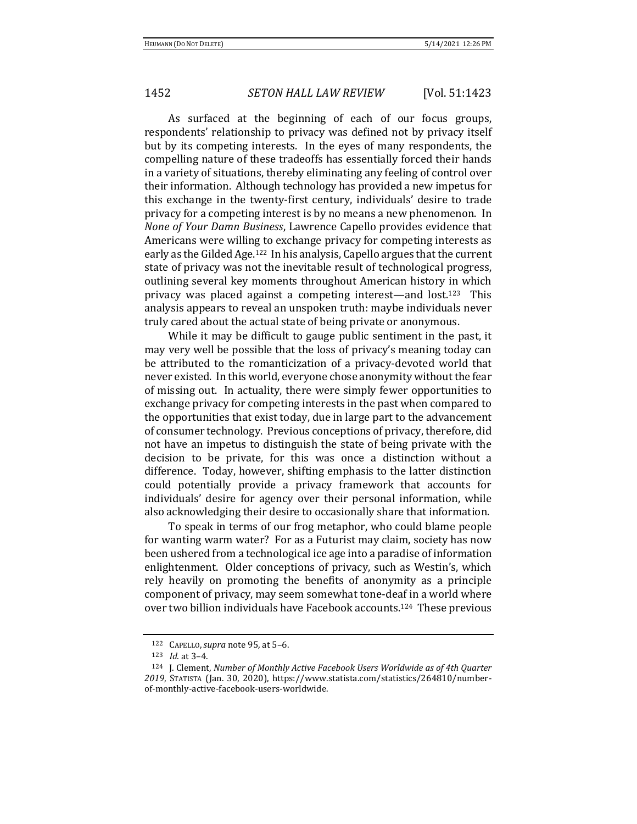As surfaced at the beginning of each of our focus groups, respondents' relationship to privacy was defined not by privacy itself but by its competing interests. In the eyes of many respondents, the compelling nature of these tradeoffs has essentially forced their hands in a variety of situations, thereby eliminating any feeling of control over their information. Although technology has provided a new impetus for this exchange in the twenty-first century, individuals' desire to trade privacy for a competing interest is by no means a new phenomenon. In *None of Your Damn Business*, Lawrence Capello provides evidence that Americans were willing to exchange privacy for competing interests as early as the Gilded Age.122 In his analysis, Capello argues that the current state of privacy was not the inevitable result of technological progress, outlining several key moments throughout American history in which privacy was placed against a competing interest—and lost.123 This analysis appears to reveal an unspoken truth: maybe individuals never truly cared about the actual state of being private or anonymous.

While it may be difficult to gauge public sentiment in the past, it may very well be possible that the loss of privacy's meaning today can be attributed to the romanticization of a privacy-devoted world that never existed. In this world, everyone chose anonymity without the fear of missing out. In actuality, there were simply fewer opportunities to exchange privacy for competing interests in the past when compared to the opportunities that exist today, due in large part to the advancement of consumer technology. Previous conceptions of privacy, therefore, did not have an impetus to distinguish the state of being private with the decision to be private, for this was once a distinction without a difference. Today, however, shifting emphasis to the latter distinction could potentially provide a privacy framework that accounts for individuals' desire for agency over their personal information, while also acknowledging their desire to occasionally share that information.

To speak in terms of our frog metaphor, who could blame people for wanting warm water? For as a Futurist may claim, society has now been ushered from a technological ice age into a paradise of information enlightenment. Older conceptions of privacy, such as Westin's, which rely heavily on promoting the benefits of anonymity as a principle component of privacy, may seem somewhat tone-deaf in a world where over two billion individuals have Facebook accounts.124 These previous

<sup>122</sup> CAPELLO,*supra* note 95, at 5–6.

<sup>123</sup> *Id.* at 3–4.

<sup>124</sup> J. Clement, *Number of Monthly Active Facebook Users Worldwide as of 4th Quarter 2019*, STATISTA (Jan. 30, 2020), https://www.statista.com/statistics/264810/numberof-monthly-active-facebook-users-worldwide.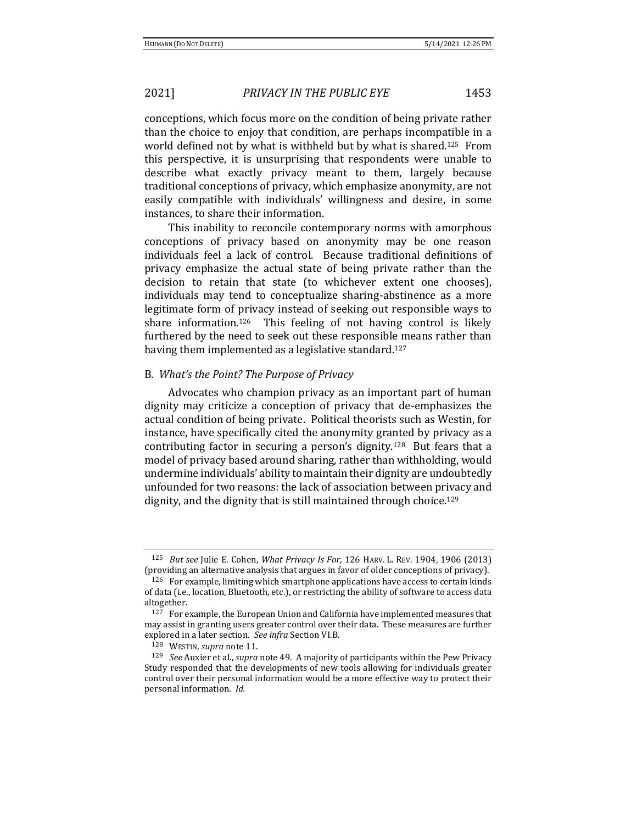conceptions, which focus more on the condition of being private rather than the choice to enjoy that condition, are perhaps incompatible in a world defined not by what is withheld but by what is shared.125 From this perspective, it is unsurprising that respondents were unable to describe what exactly privacy meant to them, largely because traditional conceptions of privacy, which emphasize anonymity, are not easily compatible with individuals' willingness and desire, in some instances, to share their information.

This inability to reconcile contemporary norms with amorphous conceptions of privacy based on anonymity may be one reason individuals feel a lack of control. Because traditional definitions of privacy emphasize the actual state of being private rather than the decision to retain that state (to whichever extent one chooses), individuals may tend to conceptualize sharing-abstinence as a more legitimate form of privacy instead of seeking out responsible ways to share information.126 This feeling of not having control is likely furthered by the need to seek out these responsible means rather than having them implemented as a legislative standard.<sup>127</sup>

### B. *What's the Point? The Purpose of Privacy*

Advocates who champion privacy as an important part of human dignity may criticize a conception of privacy that de-emphasizes the actual condition of being private. Political theorists such as Westin, for instance, have specifically cited the anonymity granted by privacy as a contributing factor in securing a person's dignity.128 But fears that a model of privacy based around sharing, rather than withholding, would undermine individuals' ability to maintain their dignity are undoubtedly unfounded for two reasons: the lack of association between privacy and dignity, and the dignity that is still maintained through choice.<sup>129</sup>

<sup>125</sup> *But see* Julie E. Cohen, *What Privacy Is For*, 126 HARV. L. REV. 1904, 1906 (2013) (providing an alternative analysis that argues in favor of older conceptions of privacy).

<sup>126</sup> For example, limiting which smartphone applications have access to certain kinds of data (i.e., location, Bluetooth, etc.), or restricting the ability of software to access data altogether.

<sup>&</sup>lt;sup>127</sup> For example, the European Union and California have implemented measures that may assist in granting users greater control over their data. These measures are further explored in a later section. *See infra* Section VI.B.

<sup>128</sup> WESTIN, *supra* note 11.

<sup>129</sup> *See* Auxier et al., *supra* note 49. A majority of participants within the Pew Privacy Study responded that the developments of new tools allowing for individuals greater control over their personal information would be a more effective way to protect their personal information. *Id.*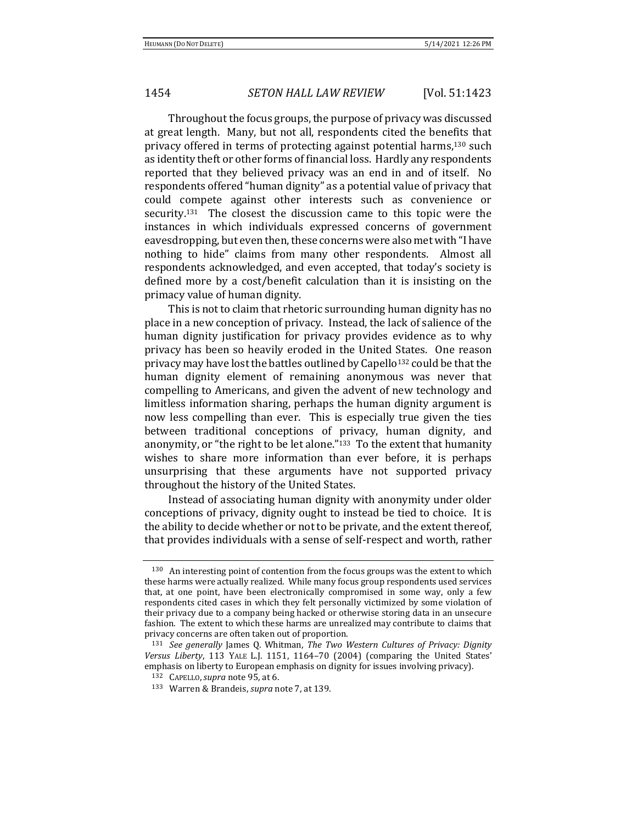Throughout the focus groups, the purpose of privacy was discussed at great length. Many, but not all, respondents cited the benefits that privacy offered in terms of protecting against potential harms,<sup>130</sup> such as identity theft or other forms of financial loss. Hardly any respondents reported that they believed privacy was an end in and of itself. No respondents offered "human dignity" as a potential value of privacy that could compete against other interests such as convenience or security.131 The closest the discussion came to this topic were the instances in which individuals expressed concerns of government eavesdropping, but even then, these concerns were also met with "I have nothing to hide" claims from many other respondents. Almost all respondents acknowledged, and even accepted, that today's society is defined more by a cost/benefit calculation than it is insisting on the primacy value of human dignity.

This is not to claim that rhetoric surrounding human dignity has no place in a new conception of privacy. Instead, the lack of salience of the human dignity justification for privacy provides evidence as to why privacy has been so heavily eroded in the United States. One reason privacy may have lost the battles outlined by Capello<sup>132</sup> could be that the human dignity element of remaining anonymous was never that compelling to Americans, and given the advent of new technology and limitless information sharing, perhaps the human dignity argument is now less compelling than ever. This is especially true given the ties between traditional conceptions of privacy, human dignity, and anonymity, or "the right to be let alone."133 To the extent that humanity wishes to share more information than ever before, it is perhaps unsurprising that these arguments have not supported privacy throughout the history of the United States.

Instead of associating human dignity with anonymity under older conceptions of privacy, dignity ought to instead be tied to choice. It is the ability to decide whether or not to be private, and the extent thereof, that provides individuals with a sense of self-respect and worth, rather

<sup>130</sup> An interesting point of contention from the focus groups was the extent to which these harms were actually realized. While many focus group respondents used services that, at one point, have been electronically compromised in some way, only a few respondents cited cases in which they felt personally victimized by some violation of their privacy due to a company being hacked or otherwise storing data in an unsecure fashion. The extent to which these harms are unrealized may contribute to claims that privacy concerns are often taken out of proportion.

<sup>131</sup> *See generally* James Q. Whitman, *The Two Western Cultures of Privacy: Dignity Versus Liberty*, 113 YALE L.J. 1151, 1164–70 (2004) (comparing the United States' emphasis on liberty to European emphasis on dignity for issues involving privacy).

<sup>132</sup> CAPELLO,*supra* note 95, at 6.

<sup>133</sup> Warren & Brandeis, *supra* note 7, at 139.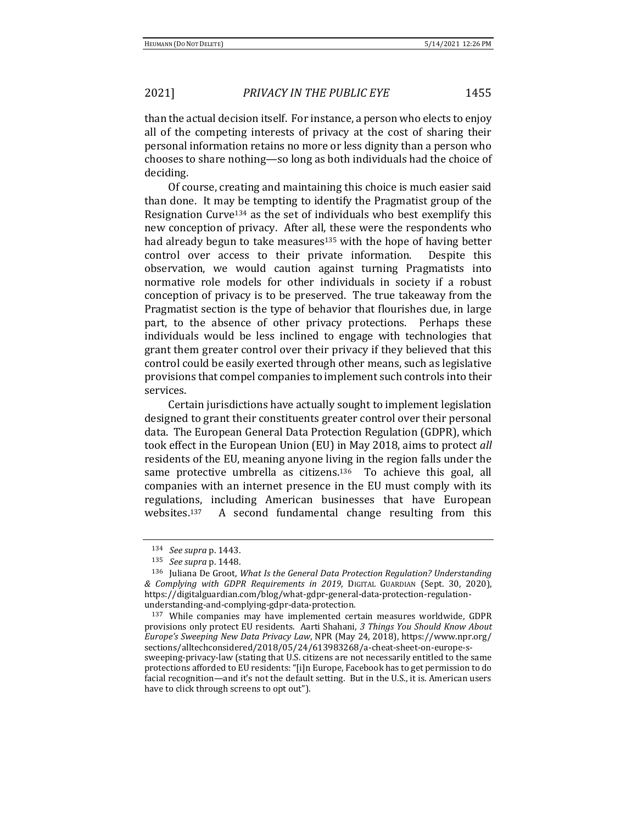than the actual decision itself. For instance, a person who elects to enjoy all of the competing interests of privacy at the cost of sharing their personal information retains no more or less dignity than a person who chooses to share nothing—so long as both individuals had the choice of deciding.

Of course, creating and maintaining this choice is much easier said than done. It may be tempting to identify the Pragmatist group of the Resignation Curve<sup>134</sup> as the set of individuals who best exemplify this new conception of privacy. After all, these were the respondents who had already begun to take measures<sup>135</sup> with the hope of having better control over access to their private information. Despite this observation, we would caution against turning Pragmatists into normative role models for other individuals in society if a robust conception of privacy is to be preserved. The true takeaway from the Pragmatist section is the type of behavior that flourishes due, in large part, to the absence of other privacy protections. Perhaps these individuals would be less inclined to engage with technologies that grant them greater control over their privacy if they believed that this control could be easily exerted through other means, such as legislative provisions that compel companies to implement such controls into their services.

Certain jurisdictions have actually sought to implement legislation designed to grant their constituents greater control over their personal data. The European General Data Protection Regulation (GDPR), which took effect in the European Union (EU) in May 2018, aims to protect *all* residents of the EU, meaning anyone living in the region falls under the same protective umbrella as citizens.<sup>136</sup> To achieve this goal, all companies with an internet presence in the EU must comply with its regulations, including American businesses that have European websites.137 A second fundamental change resulting from this

<sup>134</sup> *See supra* p. 1443.

<sup>135</sup> *See supra* p. 1448.

<sup>136</sup> Juliana De Groot, *What Is the General Data Protection Regulation? Understanding & Complying with GDPR Requirements in 2019*, DIGITAL GUARDIAN (Sept. 30, 2020), https://digitalguardian.com/blog/what-gdpr-general-data-protection-regulationunderstanding-and-complying-gdpr-data-protection.

<sup>137</sup> While companies may have implemented certain measures worldwide, GDPR provisions only protect EU residents. Aarti Shahani, *3 Things You Should Know About Europe's Sweeping New Data Privacy Law*, NPR (May 24, 2018), https://www.npr.org/ sections/alltechconsidered/2018/05/24/613983268/a-cheat-sheet-on-europe-ssweeping-privacy-law (stating that U.S. citizens are not necessarily entitled to the same protections afforded to EU residents: "[i]n Europe, Facebook has to get permission to do facial recognition—and it's not the default setting. But in the U.S., it is. American users have to click through screens to opt out").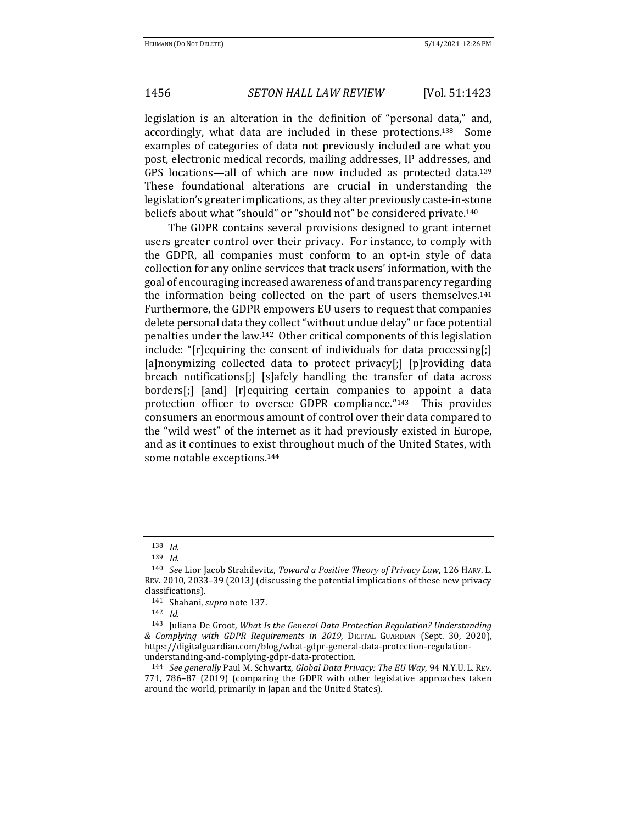legislation is an alteration in the definition of "personal data," and, accordingly, what data are included in these protections.138 Some examples of categories of data not previously included are what you post, electronic medical records, mailing addresses, IP addresses, and GPS locations—all of which are now included as protected data.<sup>139</sup> These foundational alterations are crucial in understanding the legislation's greater implications, as they alter previously caste-in-stone beliefs about what "should" or "should not" be considered private.<sup>140</sup>

The GDPR contains several provisions designed to grant internet users greater control over their privacy. For instance, to comply with the GDPR, all companies must conform to an opt-in style of data collection for any online services that track users' information, with the goal of encouraging increased awareness of and transparency regarding the information being collected on the part of users themselves.<sup>141</sup> Furthermore, the GDPR empowers EU users to request that companies delete personal data they collect "without undue delay" or face potential penalties under the law.142 Other critical components of this legislation include: "[r]equiring the consent of individuals for data processing[;] [a]nonymizing collected data to protect privacy[;] [p]roviding data breach notifications[;] [s]afely handling the transfer of data across borders[;] [and] [r]equiring certain companies to appoint a data protection officer to oversee GDPR compliance."143 This provides consumers an enormous amount of control over their data compared to the "wild west" of the internet as it had previously existed in Europe, and as it continues to exist throughout much of the United States, with some notable exceptions.<sup>144</sup>

<sup>138</sup> *Id*.

<sup>139</sup> *Id*.

<sup>140</sup> *See* Lior Jacob Strahilevitz, *Toward a Positive Theory of Privacy Law*, 126 HARV. L. REV. 2010, 2033–39 (2013) (discussing the potential implications of these new privacy classifications).

<sup>141</sup> Shahani, *supra* note 137.

<sup>142</sup> *Id*.

<sup>143</sup> Juliana De Groot, *What Is the General Data Protection Regulation? Understanding & Complying with GDPR Requirements in 2019*, DIGITAL GUARDIAN (Sept. 30, 2020), https://digitalguardian.com/blog/what-gdpr-general-data-protection-regulationunderstanding-and-complying-gdpr-data-protection.

<sup>144</sup> *See generally* Paul M. Schwartz, *Global Data Privacy: The EU Way*, 94 N.Y.U. L. REV. 771, 786–87 (2019) (comparing the GDPR with other legislative approaches taken around the world, primarily in Japan and the United States).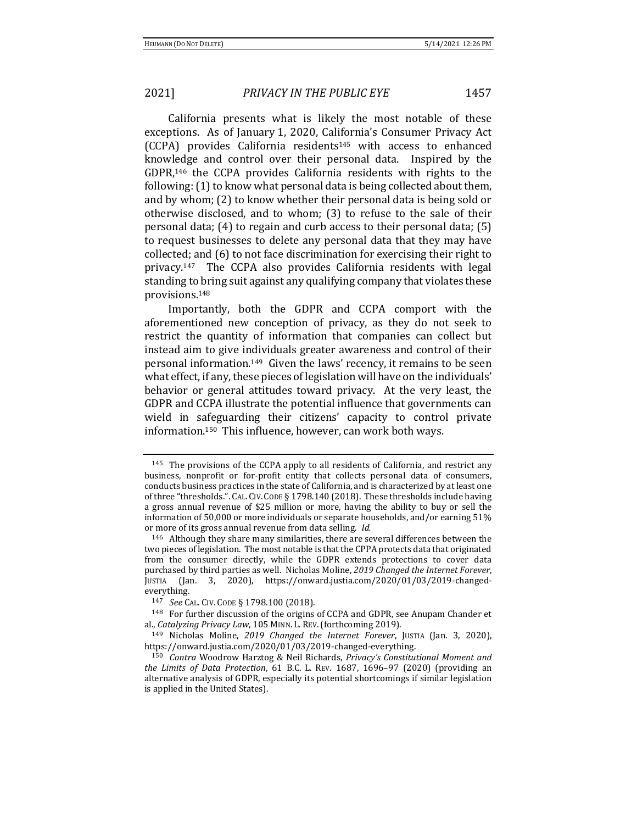California presents what is likely the most notable of these exceptions. As of January 1, 2020, California's Consumer Privacy Act (CCPA) provides California residents<sup>145</sup> with access to enhanced knowledge and control over their personal data. Inspired by the GDPR,<sup>146</sup> the CCPA provides California residents with rights to the following: (1) to know what personal data is being collected about them, and by whom; (2) to know whether their personal data is being sold or otherwise disclosed, and to whom; (3) to refuse to the sale of their personal data; (4) to regain and curb access to their personal data; (5) to request businesses to delete any personal data that they may have collected; and (6) to not face discrimination for exercising their right to privacy.147 The CCPA also provides California residents with legal standing to bring suit against any qualifying company that violates these provisions.<sup>148</sup>

Importantly, both the GDPR and CCPA comport with the aforementioned new conception of privacy, as they do not seek to restrict the quantity of information that companies can collect but instead aim to give individuals greater awareness and control of their personal information.<sup>149</sup> Given the laws' recency, it remains to be seen what effect, if any, these pieces of legislation will have on the individuals' behavior or general attitudes toward privacy. At the very least, the GDPR and CCPA illustrate the potential influence that governments can wield in safeguarding their citizens' capacity to control private information.150 This influence, however, can work both ways.

<sup>145</sup> The provisions of the CCPA apply to all residents of California, and restrict any business, nonprofit or for-profit entity that collects personal data of consumers, conducts business practices in the state of California, and is characterized by at least one of three "thresholds.". CAL.CIV.CODE § 1798.140 (2018). These thresholds include having a gross annual revenue of \$25 million or more, having the ability to buy or sell the information of 50,000 or more individuals or separate households, and/or earning 51% or more of its gross annual revenue from data selling. *Id.*

<sup>146</sup> Although they share many similarities, there are several differences between the two pieces of legislation. The most notable is that the CPPA protects data that originated from the consumer directly, while the GDPR extends protections to cover data purchased by third parties as well. Nicholas Moline, *2019 Changed the Internet Forever*, JUSTIA (Jan. 3, 2020), https://onward.justia.com/2020/01/03/2019-changedeverything.

<sup>147</sup> *See* CAL. CIV. CODE § 1798.100 (2018).

<sup>148</sup> For further discussion of the origins of CCPA and GDPR, see Anupam Chander et al., *Catalyzing Privacy Law*, 105 MINN. L. REV.(forthcoming 2019).

<sup>149</sup> Nicholas Moline, *2019 Changed the Internet Forever*, JUSTIA (Jan. 3, 2020), https://onward.justia.com/2020/01/03/2019-changed-everything.

<sup>150</sup> *Contra* Woodrow Harztog & Neil Richards, *Privacy's Constitutional Moment and the Limits of Data Protection*, 61 B.C. L. REV. 1687, 1696–97 (2020) (providing an alternative analysis of GDPR, especially its potential shortcomings if similar legislation is applied in the United States).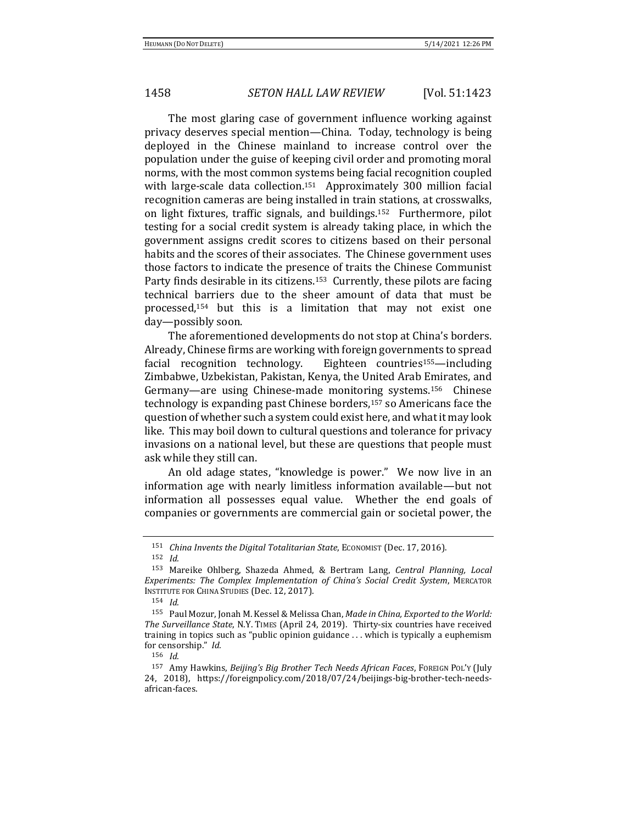The most glaring case of government influence working against privacy deserves special mention—China. Today, technology is being deployed in the Chinese mainland to increase control over the population under the guise of keeping civil order and promoting moral norms, with the most common systems being facial recognition coupled with large-scale data collection.<sup>151</sup> Approximately 300 million facial recognition cameras are being installed in train stations, at crosswalks, on light fixtures, traffic signals, and buildings.152 Furthermore, pilot testing for a social credit system is already taking place, in which the government assigns credit scores to citizens based on their personal habits and the scores of their associates. The Chinese government uses those factors to indicate the presence of traits the Chinese Communist Party finds desirable in its citizens.<sup>153</sup> Currently, these pilots are facing technical barriers due to the sheer amount of data that must be processed,<sup>154</sup> but this is a limitation that may not exist one day—possibly soon.

The aforementioned developments do not stop at China's borders. Already, Chinese firms are working with foreign governments to spread facial recognition technology. Eighteen countries155—including Zimbabwe, Uzbekistan, Pakistan, Kenya, the United Arab Emirates, and Germany—are using Chinese-made monitoring systems.156 Chinese technology is expanding past Chinese borders,<sup>157</sup> so Americans face the question of whether such a system could exist here, and what it may look like. This may boil down to cultural questions and tolerance for privacy invasions on a national level, but these are questions that people must ask while they still can.

An old adage states, "knowledge is power." We now live in an information age with nearly limitless information available—but not information all possesses equal value. Whether the end goals of companies or governments are commercial gain or societal power, the

<sup>151</sup> *China Invents the Digital Totalitarian State*, ECONOMIST (Dec. 17, 2016).

<sup>152</sup> *Id.*

<sup>153</sup> Mareike Ohlberg, Shazeda Ahmed, & Bertram Lang, *Central Planning, Local Experiments: The Complex Implementation of China's Social Credit System*, MERCATOR INSTITUTE FOR CHINA STUDIES (Dec. 12, 2017).

<sup>154</sup> *Id.*

<sup>155</sup> Paul Mozur, Jonah M. Kessel & Melissa Chan, *Made in China, Exported to the World: The Surveillance State*, N.Y. TIMES (April 24, 2019). Thirty-six countries have received training in topics such as "public opinion guidance . . . which is typically a euphemism for censorship." *Id.*

<sup>156</sup> *Id.*

<sup>157</sup> Amy Hawkins, *Beijing's Big Brother Tech Needs African Faces*, FOREIGN POL'Y (July 24, 2018), https://foreignpolicy.com/2018/07/24/beijings-big-brother-tech-needsafrican-faces.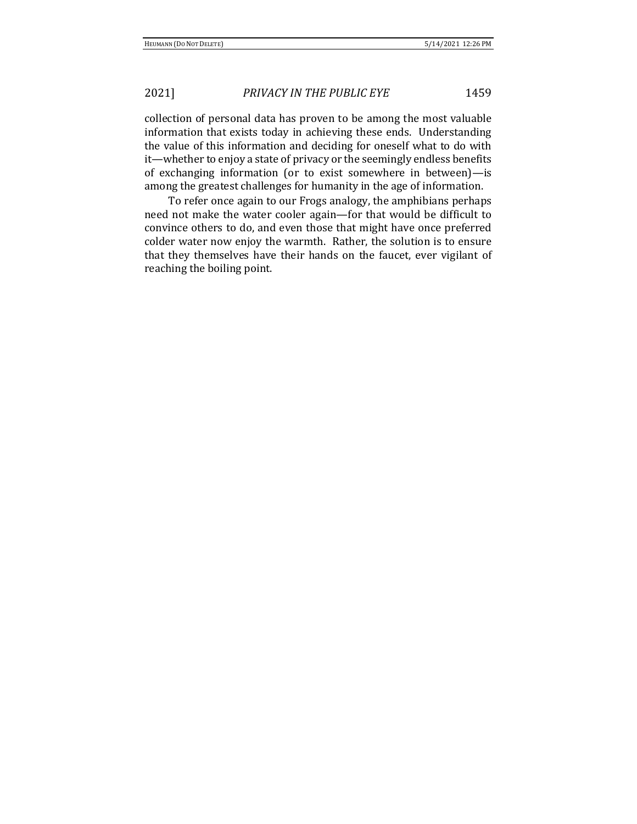collection of personal data has proven to be among the most valuable information that exists today in achieving these ends. Understanding the value of this information and deciding for oneself what to do with it—whether to enjoy a state of privacy or the seemingly endless benefits of exchanging information (or to exist somewhere in between)—is among the greatest challenges for humanity in the age of information.

To refer once again to our Frogs analogy, the amphibians perhaps need not make the water cooler again—for that would be difficult to convince others to do, and even those that might have once preferred colder water now enjoy the warmth. Rather, the solution is to ensure that they themselves have their hands on the faucet, ever vigilant of reaching the boiling point.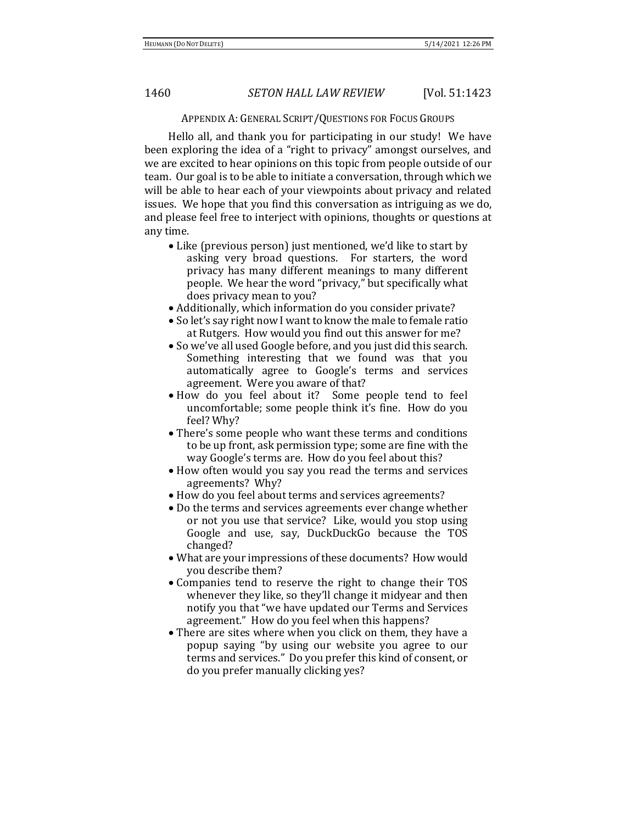### APPENDIX A: GENERAL SCRIPT/QUESTIONS FOR FOCUS GROUPS

Hello all, and thank you for participating in our study! We have been exploring the idea of a "right to privacy" amongst ourselves, and we are excited to hear opinions on this topic from people outside of our team. Our goal is to be able to initiate a conversation, through which we will be able to hear each of your viewpoints about privacy and related issues. We hope that you find this conversation as intriguing as we do, and please feel free to interject with opinions, thoughts or questions at any time.

- Like (previous person) just mentioned, we'd like to start by asking very broad questions. For starters, the word privacy has many different meanings to many different people. We hear the word "privacy," but specifically what does privacy mean to you?
- Additionally, which information do you consider private?
- So let's say right now I want to know the male to female ratio at Rutgers. How would you find out this answer for me?
- So we've all used Google before, and you just did this search. Something interesting that we found was that you automatically agree to Google's terms and services agreement. Were you aware of that?
- How do you feel about it? Some people tend to feel uncomfortable; some people think it's fine. How do you feel? Why?
- There's some people who want these terms and conditions to be up front, ask permission type; some are fine with the way Google's terms are. How do you feel about this?
- How often would you say you read the terms and services agreements? Why?
- How do you feel about terms and services agreements?
- Do the terms and services agreements ever change whether or not you use that service? Like, would you stop using Google and use, say, DuckDuckGo because the TOS changed?
- What are your impressions of these documents? How would you describe them?
- Companies tend to reserve the right to change their TOS whenever they like, so they'll change it midyear and then notify you that "we have updated our Terms and Services agreement." How do you feel when this happens?
- There are sites where when you click on them, they have a popup saying "by using our website you agree to our terms and services." Do you prefer this kind of consent, or do you prefer manually clicking yes?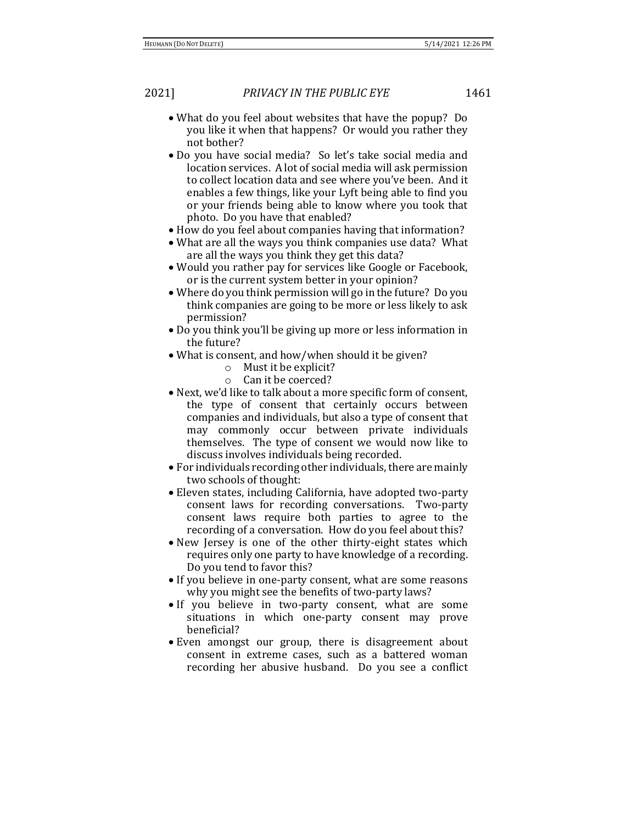- What do you feel about websites that have the popup? Do you like it when that happens? Or would you rather they not bother?
- Do you have social media? So let's take social media and location services. A lot of social media will ask permission to collect location data and see where you've been. And it enables a few things, like your Lyft being able to find you or your friends being able to know where you took that photo. Do you have that enabled?
- How do you feel about companies having that information?
- What are all the ways you think companies use data? What are all the ways you think they get this data?
- Would you rather pay for services like Google or Facebook, or is the current system better in your opinion?
- Where do you think permission will go in the future? Do you think companies are going to be more or less likely to ask permission?
- Do you think you'll be giving up more or less information in the future?
- What is consent, and how/when should it be given?
	- o Must it be explicit?
	- o Can it be coerced?
- Next, we'd like to talk about a more specific form of consent, the type of consent that certainly occurs between companies and individuals, but also a type of consent that may commonly occur between private individuals themselves. The type of consent we would now like to discuss involves individuals being recorded.
- For individuals recording other individuals, there are mainly two schools of thought:
- Eleven states, including California, have adopted two-party consent laws for recording conversations. Two-party consent laws require both parties to agree to the recording of a conversation. How do you feel about this?
- New Jersey is one of the other thirty-eight states which requires only one party to have knowledge of a recording. Do you tend to favor this?
- If you believe in one-party consent, what are some reasons why you might see the benefits of two-party laws?
- If you believe in two-party consent, what are some situations in which one-party consent may prove beneficial?
- Even amongst our group, there is disagreement about consent in extreme cases, such as a battered woman recording her abusive husband. Do you see a conflict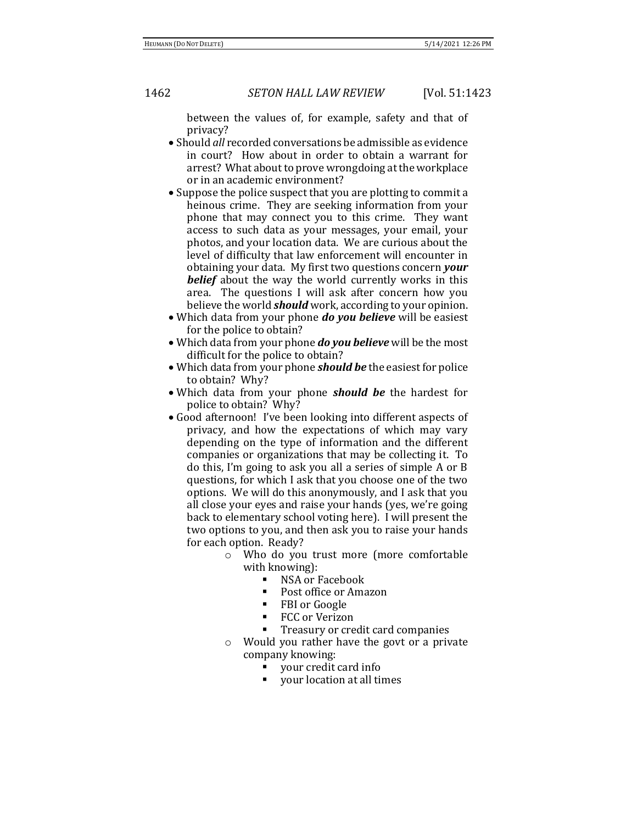between the values of, for example, safety and that of privacy?

- Should *all* recorded conversations be admissible as evidence in court? How about in order to obtain a warrant for arrest? What about to prove wrongdoing at the workplace or in an academic environment?
- Suppose the police suspect that you are plotting to commit a heinous crime. They are seeking information from your phone that may connect you to this crime. They want access to such data as your messages, your email, your photos, and your location data. We are curious about the level of difficulty that law enforcement will encounter in obtaining your data. My first two questions concern *your belief* about the way the world currently works in this area. The questions I will ask after concern how you believe the world *should* work, according to your opinion.
- Which data from your phone *do you believe* will be easiest for the police to obtain?
- Which data from your phone *do you believe* will be the most difficult for the police to obtain?
- Which data from your phone *should be* the easiest for police to obtain? Why?
- Which data from your phone *should be* the hardest for police to obtain? Why?
- Good afternoon! I've been looking into different aspects of privacy, and how the expectations of which may vary depending on the type of information and the different companies or organizations that may be collecting it. To do this, I'm going to ask you all a series of simple A or B questions, for which I ask that you choose one of the two options. We will do this anonymously, and I ask that you all close your eyes and raise your hands (yes, we're going back to elementary school voting here). I will present the two options to you, and then ask you to raise your hands for each option. Ready?
	- o Who do you trust more (more comfortable with knowing):
		- NSA or Facebook
		- Post office or Amazon
		- FBI or Google
		- FCC or Verizon
		- Treasury or credit card companies
	- o Would you rather have the govt or a private company knowing:
		- your credit card info
		- your location at all times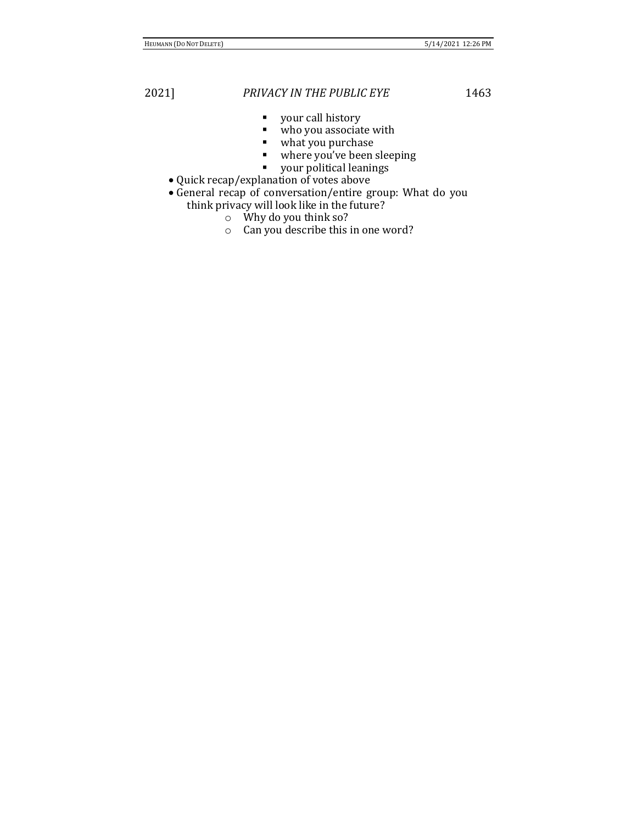- your call history
- who you associate with
- what you purchase<br>■ where you've been :
- where you've been sleeping
- your political leanings
- Quick recap/explanation of votes above
- General recap of conversation/entire group: What do you think privacy will look like in the future?
	- - o Why do you think so?
		- o Can you describe this in one word?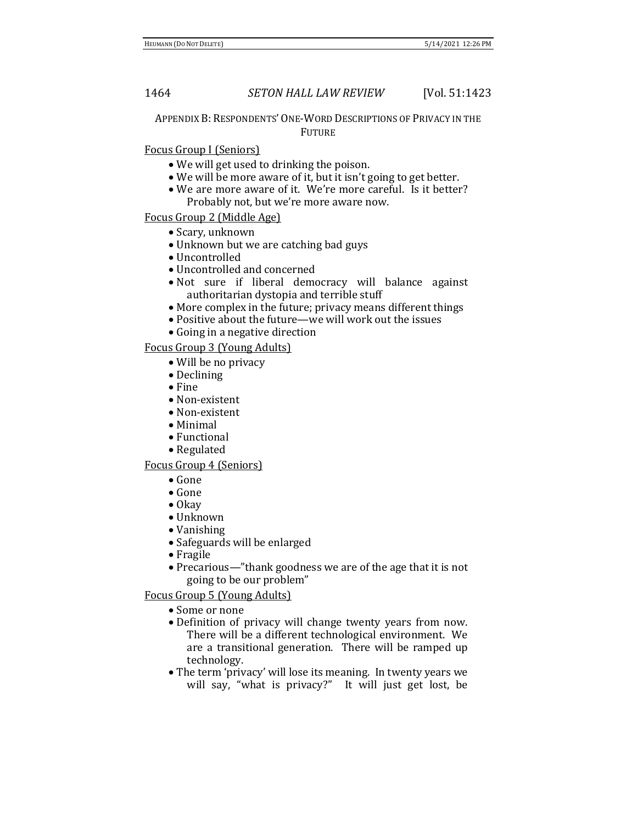APPENDIX B: RESPONDENTS' ONE-WORD DESCRIPTIONS OF PRIVACY IN THE **FUTURE** 

# Focus Group I (Seniors)

- We will get used to drinking the poison.
- We will be more aware of it, but it isn't going to get better.
- We are more aware of it. We're more careful. Is it better? Probably not, but we're more aware now.

# Focus Group 2 (Middle Age)

- Scary, unknown
- Unknown but we are catching bad guys
- Uncontrolled
- Uncontrolled and concerned
- Not sure if liberal democracy will balance against authoritarian dystopia and terrible stuff
- More complex in the future; privacy means different things
- Positive about the future—we will work out the issues
- Going in a negative direction

# Focus Group 3 (Young Adults)

- Will be no privacy
- Declining
- Fine
- Non-existent
- Non-existent
- Minimal
- Functional
- Regulated

### Focus Group 4 (Seniors)

- Gone
- Gone
- Okay
- Unknown
- Vanishing
- Safeguards will be enlarged
- Fragile
- Precarious—"thank goodness we are of the age that it is not going to be our problem"

Focus Group 5 (Young Adults)

- Some or none
- Definition of privacy will change twenty years from now. There will be a different technological environment. We are a transitional generation. There will be ramped up technology.
- The term 'privacy' will lose its meaning. In twenty years we will say, "what is privacy?" It will just get lost, be